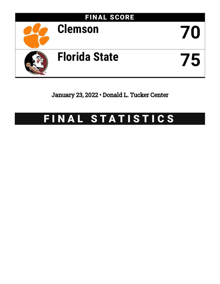

January 23, 2022 • Donald L. Tucker Center

# FINAL STATISTICS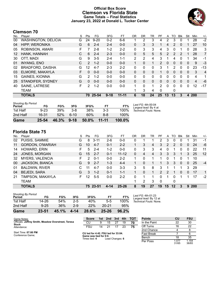# **Official Box Score Clemson vs Florida State Game Totals -- Final Statistics January 23, 2022 at Donald L. Tucker Center**



# **Clemson 70**

| No. | Plaver                     | S  | Pts      | FG       | 3FG      | <b>FT</b> | 0R           | DR.      | TR          | PF            | A        | TO       | <b>B</b> lk | Stl          | Min | $+/-$          |
|-----|----------------------------|----|----------|----------|----------|-----------|--------------|----------|-------------|---------------|----------|----------|-------------|--------------|-----|----------------|
| 00  | <b>WASHINGTON, DELICIA</b> | G  | 24       | $9 - 20$ | $0 - 2$  | $6-6$     |              | 2        | 3           | 4             | 2        | 3        | $\Omega$    | 1            | 28  | $-2$           |
| 04  | <b>HIPP, WERONIKA</b>      | G  | 6        | $2 - 4$  | $2 - 4$  | $0 - 0$   | $\mathbf{0}$ | 3        | 3           |               | 4        | 2        | $\Omega$    |              | 27  | 10             |
| 05  | ROBINSON, AMARI            | F. |          | $2 - 8$  | $1 - 2$  | $2 - 2$   | 0            | 3        | 3           | 4             | 3        | 0        |             | 0            | 28  | 3              |
| 12  | HANK, HANNAH               | C  | 6        | $2 - 4$  | $2 - 3$  | $0 - 0$   | 0            | 5        | 5           | 5.            | 2        | 2        | 2           | 1            | 28  | $\overline{7}$ |
| 30  | OTT, MADI                  | G  | 9        | $3 - 5$  | 2-4      | $1 - 1$   | 2            | 2        | 4           | 3             | 1        | 4        | $\Omega$    | 1            | 34  | -1             |
| 01  | <b>INYANG, ENO</b>         | C  | 2        | $1 - 2$  | $0 - 0$  | $0 - 0$   | $\mathbf{1}$ | $\Omega$ | $\mathbf 1$ | $\mathcal{P}$ | $\Omega$ | $\Omega$ | $\Omega$    | 0            | 9   | $-3$           |
| 02  | <b>BRADFORD, DAISHA</b>    | G  | 12       | $4 - 7$  | $2 - 3$  | $2 - 2$   | $\Omega$     | 0        | 0           | 3             |          | 2        | 0           | 0            | 23  | -13            |
| 03  | ELMORE, MAKAYLA            | F  | $\Omega$ | $0 - 0$  | $0 - 0$  | $0 - 0$   | 0            | 0        | $\Omega$    |               | 0        | 0        | $\Omega$    | 0            | 3   | $\overline{4}$ |
| 15  | <b>GAINES, KIONNA</b>      | G  | 2        | $1 - 2$  | $0 - 0$  | $0 - 0$   | 0            | 0        | 0           | 0             | 0        | 0        | 0           | 0            | 4   | 1              |
| 25  | STANDIFER, SYDNEY          | G  | $\Omega$ | $0 - 0$  | $0 - 0$  | $0 - 0$   | $\Omega$     | $\Omega$ | $\Omega$    | $\Omega$      | $\Omega$ | $\Omega$ | $\Omega$    | $\Omega$     | 4   | -6             |
| 40  | SAINE, LATRESE             | F. | 2        | $1 - 2$  | $0 - 0$  | $0 - 0$   | 1            | 0        | 1.          | 2             | $\Omega$ | 0        | $\Omega$    | $\mathbf{0}$ | 12  | -17            |
|     | <b>TEAM</b>                |    |          |          |          |           |              | 3        | 4           | $\Omega$      |          | 0        |             |              |     |                |
|     | <b>TOTALS</b>              |    | 70       | 25-54    | $9 - 18$ | $11 - 11$ | 6            | 18       | 24          | 25            | 13       | 13       | 3           | 4            | 200 |                |
|     |                            |    |          |          |          |           |              |          |             |               |          |          |             |              |     |                |

| <b>Shooting By Period</b> |          |       |          |       |           |        | Last FG: 4th-00:04   |
|---------------------------|----------|-------|----------|-------|-----------|--------|----------------------|
| Period                    | FG       | FG%   | 3FG      | 3FG%  | FТ        | FT%    | Largest lead: By 4 a |
| 1st Half                  | $9 - 23$ | 39%   | $3 - 8$  | 38%   | 3-3       | 100%   | Technical Fouls: No  |
| 2nd Half                  | 16-31    | 52%   | 6-10     | 60%   | 8-8       | 100%   |                      |
| Game                      | 25-54    | 46.3% | $9 - 18$ | 50.0% | $11 - 11$ | 100.0% |                      |

# **Florida State 75**

| No. | Plaver                  | S  | <b>Pts</b> | FG       | 3FG     | FТ        | 0R       | DR | TR | PF            | A  | TO | Blk      | Stl      | Min        | $+/-$          |
|-----|-------------------------|----|------------|----------|---------|-----------|----------|----|----|---------------|----|----|----------|----------|------------|----------------|
| 02  | PUISIS, SAMMIE          | G  | 8          | $3 - 11$ | $2-6$   | $0-0$     | 0        |    |    | 2             | 3  | 0  | 0        |          | 31         | $-1$           |
| 11  | <b>GORDON, O'MARIAH</b> | G  | 10         | $4 - 7$  | 0-1     | $2 - 2$   | 1.       | 3  | 4  | 3             | 2  | 2  | 0        | 0        | 24         | -6             |
| 14  | HOWARD, ERIN            | F. | 5.         | $2 - 4$  | $1-2$   | $0 - 0$   | 0        | 3  | 3  | 4             | 0  |    | 0        | 0        | 22         | 11             |
| 24  | <b>JONES, MORGAN</b>    | G  | 15         | $2 - 7$  | $0 - 1$ | $11 - 12$ | 0        | 4  | 4  | 3             | 3  | 3  |          | 3        | 25         | 12             |
| 32  | <b>MYERS, VALENCIA</b>  | F. | 2          | $0 - 1$  | $0 - 0$ | $2 - 2$   |          | 0  |    |               | 0  |    | 0        |          | 10         |                |
| 00  | <b>JACKSON, BIANCA</b>  | G  | 9          | $2 - 7$  | $1 - 3$ | $4 - 4$   |          | 0  |    |               | 3  | 3  | $\Omega$ | $\Omega$ | 25         | $-4$           |
| 01  | <b>BALDWIN, RIVER</b>   | C. | 11         | $4 - 7$  | $0 - 0$ | $3 - 3$   | 3        | 5  | 8  | 3             |    |    |          | 3        | -29        |                |
| 04  | <b>BEJEDI, SARA</b>     | G  | 3          | $1 - 2$  | $0 - 1$ | $1 - 1$   |          | 0  |    | $\mathcal{P}$ | 2  |    | 0        | 0        | 17         | $\overline{1}$ |
| 21  | TIMPSON, MAKAYLA        | F. | 12         | $5 - 5$  | $0 - 0$ | $2 - 2$   | $\Omega$ |    |    | 0             | 1  | 0  |          |          | 17         | $-2$           |
|     | <b>TEAM</b>             |    |            |          |         |           |          | 2  | 3  | $\Omega$      |    | 0  |          |          |            |                |
|     | <b>TOTALS</b>           |    |            | 75 23-51 | 4-14    | $25 - 26$ | 8        | 19 | 27 | 19            | 15 | 12 | 3        | 9        | <b>200</b> |                |

| Game                                | 23-51    | 45.1% | $4 - 14$ | 28.6% | 25-26     | 96.2% |                  |
|-------------------------------------|----------|-------|----------|-------|-----------|-------|------------------|
| 2nd Half                            | $9 - 25$ | 36%   | $2-9$    | 22%   | $20 - 21$ | 95%   |                  |
| 1st Half                            | 14-26    | 54%   | $2 - 5$  | 40%   | $5-5$     | 100%  | Techni           |
| <b>Shooting By Period</b><br>Period | FG       | FG%   | 3FG      | 3FG%  | FT        | FT%   | Last F<br>Larges |

*Last FG:* 4th-01:23 *Largest lead:* By 12 at *Technical Fouls:* None.

*Largest lead:* By 4 at *Technical Fouls:* None.

| Game Notes:                                                         | <b>Score</b>                            | 1st | 2nd             | 3rd | 4th | <b>TOT</b> | <b>Points</b> | CU             | <b>FSU</b>     |
|---------------------------------------------------------------------|-----------------------------------------|-----|-----------------|-----|-----|------------|---------------|----------------|----------------|
| Officials: Jeffrey Smith, Meadow Overstreet, Teresa<br><b>Stuck</b> | СL                                      |     | 15              |     | 19  | 70         | In the Paint  | 22             | 30             |
| Attendance:                                                         | <b>FSU</b>                              | 14  |                 |     | 23  | 75         | Off Turns     | 16             | 22             |
|                                                                     |                                         |     |                 |     |     |            | 2nd Chance    |                |                |
| Start Time: 07:00 PM<br>Conference Game:                            | CU led for 4:42. FSU led for 33:04.     |     |                 |     |     |            | Fast Break    |                |                |
|                                                                     | Game was tied for 0:0.<br>Times tied: 4 |     | Lead Changes: 6 |     |     |            | Bench         |                | 35             |
|                                                                     |                                         |     |                 |     |     |            | Per Poss      | 1.077<br>31/65 | 1.154<br>36/65 |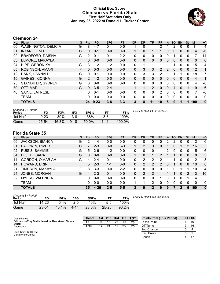# **Official Box Score Clemson vs Florida State First Half Statistics Only January 23, 2022 at Donald L. Tucker Center**



# **Clemson 24**

| No. | Player                     | S  | <b>Pts</b>    | <b>FG</b> | 3FG     | <b>FT</b> | <b>OR</b>    | <b>DR</b> | <b>TR</b>      | PF             | A        | <b>TO</b> | <b>Blk</b>   | Stl          | Min            | $+/-$    |
|-----|----------------------------|----|---------------|-----------|---------|-----------|--------------|-----------|----------------|----------------|----------|-----------|--------------|--------------|----------------|----------|
| 00  | <b>WASHINGTON, DELICIA</b> | G  | 8             | 4-7       | $0 - 1$ | $0-0$     |              | 0         |                | 2              |          | 2         | 0            | 0            | 11             | $-4$     |
| 01  | <b>INYANG, ENO</b>         | С  | 0             | $0 - 1$   | $0 - 0$ | $0 - 0$   |              | $\Omega$  |                | 1              | 0        | 0         | 0            | $\mathbf{0}$ | 4              | $-6$     |
| 02  | <b>BRADFORD, DAISHA</b>    | G  | 2             | $0 - 1$   | $0 - 1$ | $2 - 2$   | 0            | 0         | 0              | 0              | 0        |           | 0            | 0            |                | $-14$    |
| 03  | ELMORE, MAKAYLA            | F. | $\Omega$      | $0 - 0$   | $0 - 0$ | $0 - 0$   | 0            | $\Omega$  | 0              | 0              | 0        | 0         | 0            | 0            | $\mathbf{0}$   | 0        |
| 04  | <b>HIPP, WERONIKA</b>      | G  | 3             | $1 - 2$   | $1 - 2$ | $0 - 0$   | 0            | 1         | 1              | 1              |          | 1         | 0            | 0            | 15             | $-4$     |
| 05  | ROBINSON, AMARI            | F. | $\Omega$      | $0 - 3$   | $0 - 0$ | $0 - 0$   | $\mathbf{0}$ | 3         | 3              | $\overline{2}$ | 2        | 0         | $\mathbf{0}$ | $\mathbf{0}$ | 12             | 1        |
| 12  | HANK, HANNAH               | С  | 0             | $0 - 1$   | $0 - 0$ | $0 - 0$   | 0            | 3         | 3              | 2              |          |           |              | 0            | 18             | $-7$     |
| 15  | <b>GAINES, KIONNA</b>      | G  | $\mathcal{P}$ | $1 - 2$   | $0 - 0$ | $0 - 0$   | 0            | 0         | $\mathbf{0}$   | 0              | 0        | 0         | 0            | $\mathbf{0}$ | $\overline{4}$ | 1        |
| 25  | STANDIFER, SYDNEY          | G  | 0             | $0 - 0$   | $0 - 0$ | $0 - 0$   | 0            | 0         | 0              | 0              | 0        | 0         | $\Omega$     | 0            | 4              | -6       |
| 30  | OTT, MADI                  | G  | 9             | $3 - 5$   | $2 - 4$ | $1 - 1$   |              | 1         | $\overline{2}$ | $\Omega$       | $\Omega$ | 4         | $\Omega$     |              | 19             | $-6$     |
| 40  | SAINE, LATRESE             | F  | $\Omega$      | $0 - 1$   | $0 - 0$ | $0 - 0$   | 0            | 0         | $\Omega$       | 2              | 0        | 0         | $\Omega$     | $\Omega$     | 7              | -6       |
|     | <b>TEAM</b>                |    | 0             | $0 - 0$   | $0 - 0$ | $0 - 0$   | 0            | 0         | 0              | 0              | 0        | $\Omega$  | $\Omega$     | 0            | 0              | 0        |
|     | <b>TOTALS</b>              |    | 24            | $9 - 23$  | $3 - 8$ | $3 - 3$   | 3            | 8         | 11             | 10             | 5        | 9         |              | 1            | 100            | $\bf{0}$ |

| <b>Shooting By Period</b><br>Period | FG       | FG%   | 3FG     | 3FG%     |           | FT%    | Last FG Half: CU 2nd-03:56 |
|-------------------------------------|----------|-------|---------|----------|-----------|--------|----------------------------|
| 1st Half                            | $9 - 23$ | 39%   | $3 - 8$ | 38%      | $3-3$     | 100%   |                            |
| Game                                | 25-54    | 46.3% | $9-18$  | $50.0\%$ | $11 - 11$ | 100.0% |                            |

# **Florida State 35**

| No. | Player                  | S | <b>Pts</b> | <b>FG</b> | 3FG     | <b>FT</b> | <b>OR</b> | D <sub>R</sub> | TR      | <b>PF</b> | A        | TO | <b>B</b> lk | Stl      | Min            | $+/-$        |
|-----|-------------------------|---|------------|-----------|---------|-----------|-----------|----------------|---------|-----------|----------|----|-------------|----------|----------------|--------------|
| 00  | <b>JACKSON, BIANCA</b>  | G | 2          | 1-4       | $0-0$   | $0-0$     | 0         | 0              | 0       | 0         | 2        | 2  | 0           | 0        | 12             | 6            |
| 01  | <b>BALDWIN, RIVER</b>   | С |            | $2 - 3$   | $0 - 0$ | $3 - 3$   |           | 2              | 3       | 0         |          | 0  |             | 2        | 16             |              |
| 02  | PUISIS, SAMMIE          | G | 5.         | $2-6$     | 1-2     | $0 - 0$   | 0         | 0              | 0       |           | 2        | 0  | $\Omega$    | 0        | 15             | 6            |
| 04  | <b>BEJEDI, SARA</b>     | G | 0          | $0 - 0$   | $0 - 0$ | $0 - 0$   |           | 0              |         | 2         |          |    | $\Omega$    | $\Omega$ | 8              | 3            |
| 11  | <b>GORDON, O'MARIAH</b> | G | 4          | $2 - 4$   | $0 - 1$ | $0 - 0$   | $\Omega$  | 2              | 2       | 2         |          |    | 0           | $\Omega$ | 12             | 8            |
| 14  | HOWARD, ERIN            | F | 5.         | $2 - 3$   | 1-1     | $0 - 0$   | 0         | 2              | 2       | 2         | $\Omega$ |    | $\Omega$    | 0        | 10             | 8            |
| 21  | TIMPSON, MAKAYLA        | F | 8          | $3 - 3$   | $0 - 0$ | $2 - 2$   | 0         | 0              | 0       | U         |          | O  |             |          | 10             | 4            |
| 24  | JONES, MORGAN           | G | 4          | $2 - 3$   | $0 - 1$ | $0 - 0$   | 0         | 2              | 2       |           |          |    | $\Omega$    | 2        | 13             | 10           |
| 32  | <b>MYERS, VALENCIA</b>  | F | 0          | $0 - 0$   | $0 - 0$ | $0 - 0$   | 0         | 0              | 0       |           | 0        | 1  | $\Omega$    |          | $\overline{4}$ |              |
|     | TEAM                    |   | 0          | $0 - 0$   | $0 - 0$ | $0 - 0$   | 1         |                | 2       | 0         | 0        | 0  | $\Omega$    | 0        | 0              | 0            |
|     | <b>TOTALS</b>           |   | 35         | $14 - 26$ | $2 - 5$ | $5 - 5$   | 3         | 9              | $12 \,$ | 9         | 9        |    | 2           | 6        | 100            | $\mathbf{0}$ |

| <b>Shooting By Period</b><br>Period | FG        | FG%   | 3FG     | 3FG%  |           | FT%   | Last FG Half: FSU 2nd-00:30 |
|-------------------------------------|-----------|-------|---------|-------|-----------|-------|-----------------------------|
| 1st Half                            | 14-26     | 54%   | $2 - 5$ | 40%   | $5-5$     | 100%  |                             |
| Game                                | $23 - 51$ | 45.1% | 4-14    | 28.6% | $25 - 26$ | 96.2% |                             |

| Game Notes:                                                         | <b>Score</b> | 1st l | 2nd | -3rd | 4th | <b>TOT</b> | <b>Points from (This Period)</b> | <b>CU FSU</b> |
|---------------------------------------------------------------------|--------------|-------|-----|------|-----|------------|----------------------------------|---------------|
| Officials: Jeffrey Smith, Meadow Overstreet, Teresa<br><b>Stuck</b> | CU           |       | 15  | 27   | 19  | 70         | In the Paint                     | 16            |
| Attendance:                                                         | <b>FSU</b>   | 14    |     |      | 23  | 75         | Off Turns                        | 16            |
|                                                                     |              |       |     |      |     |            | 2nd Chance                       |               |
| Start Time: 07:00 PM<br>Conference Game:                            |              |       |     |      |     |            | <b>Fast Break</b>                |               |
|                                                                     |              |       |     |      |     |            | Bench                            |               |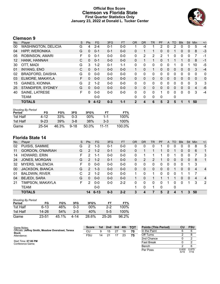# **Official Box Score Clemson vs Florida State First Quarter Statistics Only January 23, 2022 at Donald L. Tucker Center**



# **Clemson 9**

| No.               | Plaver                     | S | <b>Pts</b>    | <b>FG</b> | 3FG     | <b>FT</b> | <b>OR</b>    | <b>DR</b> | <b>TR</b> | PF           | A        | TO       | <b>Blk</b> | Stl          | Min      | $+/-$        |
|-------------------|----------------------------|---|---------------|-----------|---------|-----------|--------------|-----------|-----------|--------------|----------|----------|------------|--------------|----------|--------------|
| 00                | <b>WASHINGTON, DELICIA</b> | G | 4             | $2 - 4$   | $0 - 1$ | $0-0$     |              | 0         |           | 2            | 0        | 2        | 0          | 0            | 5        | $-4$         |
| 04                | HIPP, WERONIKA             | G | 0             | $0 - 1$   | $0 - 1$ | $0 - 0$   | $\Omega$     |           |           | 0            | 0        |          | 0          | $\mathbf{0}$ | 8        | $-3$         |
| 05                | ROBINSON, AMARI            | F | 0             | $0 - 1$   | $0 - 0$ | $0 - 0$   | 0            | 2         | 2         | 2            |          | 0        | 0          | 0            | 7        | $-1$         |
| $12 \overline{ }$ | HANK, HANNAH               | C | 0             | $0 - 1$   | $0 - 0$ | $0 - 0$   | $\Omega$     |           | 1         | 0            |          |          |            | $\mathbf{0}$ | 8        | $-1$         |
| 30                | OTT, MADI                  | G | 3             | $1 - 2$   | $0 - 1$ | $1 - 1$   | $\Omega$     | 0         | 0         | 0            | 0        |          | $\Omega$   |              | 10       | -5           |
| 01                | <b>INYANG, ENO</b>         | C | $\Omega$      | $0 - 1$   | $0 - 0$ | $0 - 0$   | 1            | $\Omega$  | 1         | 0            | $\Omega$ | $\Omega$ | $\Omega$   | $\Omega$     | 3        | $-4$         |
| 02                | <b>BRADFORD, DAISHA</b>    | G | $\Omega$      | $0 - 0$   | $0 - 0$ | $0 - 0$   | 0            | 0         | 0         | 0            | 0        | 0        | 0          | $\mathbf{0}$ | $\Omega$ | $\mathbf{0}$ |
| 03                | ELMORE, MAKAYLA            | F | 0             | $0 - 0$   | $0 - 0$ | $0 - 0$   | $\Omega$     | 0         | 0         | 0            | 0        | $\Omega$ | 0          | $\Omega$     | $\Omega$ | $\mathbf{0}$ |
| 15                | <b>GAINES, KIONNA</b>      | G | $\mathcal{P}$ | $1 - 2$   | $0 - 0$ | $0 - 0$   | $\Omega$     | 0         | 0         | $\Omega$     | 0        | 0        | 0          | $\Omega$     | 3        | 3            |
| 25                | STANDIFER, SYDNEY          | G | $\Omega$      | $0 - 0$   | $0 - 0$ | $0 - 0$   | $\mathbf{0}$ | $\Omega$  | 0         | 0            | $\Omega$ | $\Omega$ | 0          | $\Omega$     | 4        | $-6$         |
| 40                | <b>SAINE, LATRESE</b>      | F | 0             | $0 - 0$   | $0 - 0$ | $0-0$     | $\Omega$     | 0         | 0         |              | $\Omega$ | 0        | 0          | 0            | 3        | $-4$         |
|                   | TEAM                       |   |               | $0 - 0$   |         |           | $\Omega$     | 0         | 0         | $\mathbf{0}$ |          | 0        |            |              |          |              |
|                   | <b>TOTALS</b>              |   | 9             | $4 - 12$  | $0 - 3$ | $1 - 1$   | 2            | 4         | 6         | 5            | 2        | 5        |            | 1            | 50       |              |

| <b>Shooting By Period</b> |          |       |          |        |           |        |
|---------------------------|----------|-------|----------|--------|-----------|--------|
| Period                    | FG       | FG%   | 3FG      | 3FG%   | FТ        | FT%    |
| 1st Half                  | 4-12     | 33%   | 0-3      | $00\%$ | 1-1       | 100%   |
| 1st Half                  | $9 - 23$ | 39%   | $3 - 8$  | 38%    | $3-3$     | 100%   |
| Game                      | 25-54    | 46.3% | $9 - 18$ | 50.0%  | $11 - 11$ | 100.0% |

# **Florida State 14**

| No. | Player                  | S  | Pts            | FG       | 3FG     | <b>FT</b> | <b>OR</b> | <b>DR</b> | TR       | PF | A        | TO           | <b>Blk</b> | Stl          | Min | $+/-$          |
|-----|-------------------------|----|----------------|----------|---------|-----------|-----------|-----------|----------|----|----------|--------------|------------|--------------|-----|----------------|
| 02  | PUISIS, SAMMIE          | G  | 2              | $1 - 3$  | $0 - 1$ | $0-0$     | 0         | 0         | 0        |    | 0        | 0            | 0          | 0            | 8   | 5              |
| 11  | <b>GORDON, O'MARIAH</b> | G  | 2              | $1 - 2$  | $0 - 1$ | $0-0$     | 0         |           |          |    | 0        |              | 0          | $\mathbf{0}$ | 6   | 1              |
| 14  | HOWARD, ERIN            | F  | 2              | 1-1      | $0 - 0$ | $0-0$     | 0         |           |          |    |          |              | 0          | 0            |     | 3              |
| 24  | JONES, MORGAN           | G  | $\overline{2}$ | $1 - 2$  | $0 - 1$ | $0-0$     | 0         | 2         | 2        |    | Ü        | 0            | 0          | 0            | 8   | $\mathbf{1}$   |
| 32  | <b>MYERS, VALENCIA</b>  | F. | 0              | $0 - 0$  | $0 - 0$ | $0-0$     | 0         | 0         | 0        | 0  | 0        | 0            | 0          |              | -3  |                |
| 00  | JACKSON, BIANCA         | G  | $\mathcal{P}$  | $1 - 3$  | $0 - 0$ | $0-0$     | $\Omega$  | 0         | 0        | 0  | $\Omega$ |              | 0          | $\Omega$     | 4   | $\overline{4}$ |
| 01  | <b>BALDWIN, RIVER</b>   | C  | 2              | $1 - 2$  | $0 - 0$ | $0-0$     |           | 0         | 1.       | 0  | 0        | $\Omega$     |            |              |     |                |
| 04  | <b>BEJEDI, SARA</b>     | G  | 0              | $0 - 0$  | $0 - 0$ | $0 - 0$   |           | 0         |          |    |          |              | 0          | $\Omega$     | 4   | $\overline{4}$ |
| 21  | TIMPSON, MAKAYLA        | F. | 2              | $0 - 0$  | $0 - 0$ | $2 - 2$   | 0         | 0         | $\Omega$ | 0  |          | ∩            | 0          |              | 3   | 2              |
|     | <b>TEAM</b>             |    |                | $0 - 0$  |         |           |           | 0         | 1        | 0  |          | 0            |            |              |     |                |
|     | <b>TOTALS</b>           |    | 14             | $6 - 13$ | $0 - 3$ | $2 - 2$   | 3         |           |          | 5  | 2        | $\mathbf{A}$ |            | 3            | 50  |                |

| <b>Shooting By Period</b> |          |       |       |        |           |       |
|---------------------------|----------|-------|-------|--------|-----------|-------|
| Period                    | FG       | FG%   | 3FG   | 3FG%   | FТ        | FT%   |
| 1st Half                  | $6 - 13$ | 46%   | 0-3   | $00\%$ | $2-2$     | 100%  |
| 1st Half                  | 14-26    | 54%   | $2-5$ | 40%    | $5-5$     | 100%  |
| Game                      | 23-51    | 45.1% | 4-14  | 28.6%  | $25 - 26$ | 96.2% |

| Game Notes:                                                         | <b>Score</b> | 1st l | 2nd | $\sim$ 3rd $\sim$ | 4th | тот | <b>Points (This Period)</b> | CU            | <b>FSU</b>    |
|---------------------------------------------------------------------|--------------|-------|-----|-------------------|-----|-----|-----------------------------|---------------|---------------|
| Officials: Jeffrey Smith, Meadow Overstreet, Teresa<br><b>Stuck</b> | CU           | 9     | 15  | 27                | 19  | 70  | In the Paint                |               |               |
| Attendance:                                                         | FSU          | 14    | 21  |                   | 23  | 75  | Off Turns                   |               |               |
|                                                                     |              |       |     |                   |     |     | 2nd Chance                  |               |               |
| Start Time: 07:00 PM<br>Conference Game:                            |              |       |     |                   |     |     | <b>Fast Break</b>           |               |               |
|                                                                     |              |       |     |                   |     |     | Bench                       |               |               |
|                                                                     |              |       |     |                   |     |     | Per Poss                    | 0.600<br>5/15 | 0.875<br>7/16 |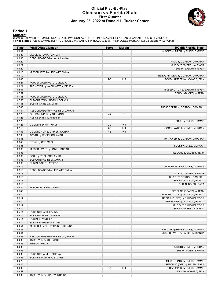## **Official Play-By-Play Clemson vs Florida State First Quarter January 23, 2022 at Donald L. Tucker Center**



### **Period 1**

<mark>Startersː</mark><br>Clemson: 00 WASHINGTON,DELICIA (G); 4 HIPP,WERONIKA (G); 5 ROBINSON,AMARI (F); 12 HANK,HANNAH (C); 30 OTT,MADI (G);<br>Florida State: 2 PUISIS,SAMMIE (G); 11 GORDON,O'MARIAH (G); 14 HOWARD,ERIN (F); 24 JONES,MORGA

| Time  | <b>VISITORS: Clemson</b>         | <b>Score</b> | <b>Margin</b>  | <b>HOME: Florida State</b>        |
|-------|----------------------------------|--------------|----------------|-----------------------------------|
| 09:39 |                                  |              |                | MISSED JUMPER by PUISIS, SAMMIE   |
| 09:39 | BLOCK by HANK, HANNAH            |              |                |                                   |
| 09:35 | REBOUND (DEF) by HANK, HANNAH    |              |                |                                   |
| 09:29 |                                  |              |                | FOUL by GORDON, O'MARIAH          |
| 09:29 |                                  |              |                | SUB OUT: MYERS, VALENCIA          |
| 09:29 |                                  |              |                | SUB IN: BALDWIN, RIVER            |
| 09:13 | MISSED 3PTR by HIPP, WERONIKA    |              |                |                                   |
| 09:10 |                                  |              |                | REBOUND (DEF) by GORDON, O'MARIAH |
| 08:46 |                                  | $2 - 0$      | H <sub>2</sub> | GOOD! JUMPER by HOWARD, ERIN      |
| 08:21 | FOUL by WASHINGTON, DELICIA      |              |                |                                   |
| 08:21 | TURNOVER by WASHINGTON, DELICIA  |              |                |                                   |
| 08:01 |                                  |              |                | MISSED LAYUP by BALDWIN, RIVER    |
| 07:59 |                                  |              |                | REBOUND (OFF) by TEAM             |
| 07:55 | FOUL by WASHINGTON, DELICIA      |              |                |                                   |
| 07:55 | SUB OUT: WASHINGTON, DELICIA     |              |                |                                   |
| 07:55 | SUB IN: GAINES, KIONNA           |              |                |                                   |
| 07:48 |                                  |              |                |                                   |
|       |                                  |              |                | MISSED 3PTR by GORDON, O'MARIAH   |
| 07:44 | REBOUND (DEF) by ROBINSON, AMARI |              |                |                                   |
| 07:28 | GOOD! JUMPER by OTT, MADI        | $2 - 2$      | T              |                                   |
| 07:28 | ASSIST by HANK, HANNAH           |              |                |                                   |
| 07:28 |                                  |              |                | FOUL by PUISIS, SAMMIE            |
| 07:28 | GOOD! FT by OTT, MADI            | $2 - 3$      | V <sub>1</sub> |                                   |
| 07:13 |                                  | $4 - 3$      | H <sub>1</sub> | GOOD! LAYUP by JONES, MORGAN      |
| 07:03 | GOOD! LAYUP by GAINES, KIONNA    | $4 - 5$      | V <sub>1</sub> |                                   |
| 07:03 | ASSIST by ROBINSON, AMARI        |              |                |                                   |
| 06:46 |                                  |              |                | TURNOVER by GORDON, O'MARIAH      |
| 06:46 | STEAL by OTT, MADI               |              |                |                                   |
| 06:36 |                                  |              |                | FOUL by JONES, MORGAN             |
| 06:33 | MISSED LAYUP by HANK, HANNAH     |              |                |                                   |
| 06:33 |                                  |              |                | REBOUND (DEADB) by TEAM           |
| 06:33 | FOUL by ROBINSON, AMARI          |              |                |                                   |
| 06:33 | SUB OUT: ROBINSON, AMARI         |              |                |                                   |
| 06:33 | SUB IN: SAINE, LATRESE           |              |                |                                   |
| 06:16 |                                  |              |                | MISSED 3PTR by JONES, MORGAN      |
| 06:13 | REBOUND (DEF) by HIPP, WERONIKA  |              |                |                                   |
| 06:13 |                                  |              |                | SUB OUT: PUISIS, SAMMIE           |
| 06:13 |                                  |              |                | SUB OUT: GORDON, O'MARIAH         |
| 06:13 |                                  |              |                | SUB IN: JACKSON, BIANCA           |
| 06:13 |                                  |              |                | SUB IN: BEJEDI, SARA              |
| 05:44 | MISSED 3PTR by OTT, MADI         |              |                |                                   |
| 05:43 |                                  |              |                | REBOUND (DEADB) by TEAM           |
| 05:19 |                                  |              |                | MISSED LAYUP by JACKSON, BIANCA   |
| 05:14 |                                  |              |                | REBOUND (OFF) by BALDWIN, RIVER   |
| 05:14 |                                  |              |                | TURNOVER by JACKSON, BIANCA       |
| 05:14 |                                  |              |                | SUB OUT: BALDWIN, RIVER           |
| 05:14 |                                  |              |                | SUB IN: MYERS, VALENCIA           |
| 05:14 | SUB OUT: HANK, HANNAH            |              |                |                                   |
| 05:14 | SUB OUT: SAINE, LATRESE          |              |                |                                   |
| 05:14 | SUB IN: INYANG, ENO              |              |                |                                   |
| 05:14 | SUB IN: ROBINSON, AMARI          |              |                |                                   |
| 04:51 | MISSED JUMPER by GAINES, KIONNA  |              |                |                                   |
| 04:48 |                                  |              |                |                                   |
|       |                                  |              |                | REBOUND (DEF) by JONES, MORGAN    |
| 04:41 |                                  |              |                | MISSED LAYUP by JACKSON, BIANCA   |
| 04:38 | REBOUND (DEF) by ROBINSON, AMARI |              |                |                                   |
| 04:36 | TURNOVER by OTT, MADI            |              |                |                                   |
| 04:36 | <b>TIMEOUT MEDIA</b>             |              |                |                                   |
| 04:36 |                                  |              |                | SUB OUT: JONES, MORGAN            |
| 04:36 |                                  |              |                | SUB IN: PUISIS, SAMMIE            |
| 04:36 | SUB OUT: GAINES, KIONNA          |              |                |                                   |
| 04:36 | SUB IN: STANDIFER, SYDNEY        |              |                |                                   |
| 04:25 |                                  |              |                | MISSED 3PTR by PUISIS, SAMMIE     |
| 04:25 |                                  |              |                | REBOUND (OFF) by BEJEDI, SARA     |
| 04:08 |                                  | $6-5$        | H <sub>1</sub> | GOOD! JUMPER by PUISIS, SAMMIE    |
| 03:57 |                                  |              |                | FOUL by HOWARD, ERIN              |
| 03:39 | TURNOVER by HIPP, WERONIKA       |              |                |                                   |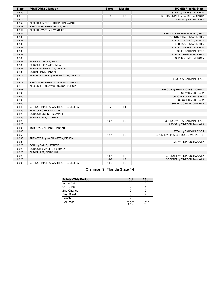| <b>Time</b> | <b>VISITORS: Clemson</b>             | <b>Score</b> | <b>Margin</b>  | <b>HOME: Florida State</b>           |
|-------------|--------------------------------------|--------------|----------------|--------------------------------------|
| 03:39       |                                      |              |                | STEAL by MYERS, VALENCIA             |
| 03:19       |                                      | $8-5$        | $H_3$          | GOOD! JUMPER by JACKSON, BIANCA      |
| 03:19       |                                      |              |                | ASSIST by BEJEDI, SARA               |
| 02:52       | MISSED JUMPER by ROBINSON, AMARI     |              |                |                                      |
| 02:47       | REBOUND (OFF) by INYANG, ENO         |              |                |                                      |
| 02:47       | MISSED LAYUP by INYANG, ENO          |              |                |                                      |
| 02:46       |                                      |              |                | REBOUND (DEF) by HOWARD, ERIN        |
| 02:38       |                                      |              |                | TURNOVER by HOWARD, ERIN             |
| 02:38       |                                      |              |                | SUB OUT: JACKSON, BIANCA             |
| 02:38       |                                      |              |                | SUB OUT: HOWARD, ERIN                |
| 02:38       |                                      |              |                | SUB OUT: MYERS, VALENCIA             |
| 02:38       |                                      |              |                | SUB IN: BALDWIN, RIVER               |
| 02:38       |                                      |              |                | SUB IN: TIMPSON, MAKAYLA             |
| 02:38       |                                      |              |                | SUB IN: JONES, MORGAN                |
| 02:38       | SUB OUT: INYANG, ENO                 |              |                |                                      |
| 02:38       | SUB OUT: HIPP, WERONIKA              |              |                |                                      |
| 02:38       | SUB IN: WASHINGTON, DELICIA          |              |                |                                      |
| 02:38       | SUB IN: HANK, HANNAH                 |              |                |                                      |
| 02:16       | MISSED JUMPER by WASHINGTON, DELICIA |              |                |                                      |
| 02:16       |                                      |              |                | BLOCK by BALDWIN, RIVER              |
| 02:13       | REBOUND (OFF) by WASHINGTON, DELICIA |              |                |                                      |
| 02:10       | MISSED 3PTR by WASHINGTON, DELICIA   |              |                |                                      |
| 02:07       |                                      |              |                | REBOUND (DEF) by JONES, MORGAN       |
| 02:00       |                                      |              |                | FOUL by BEJEDI, SARA                 |
| 02:00       |                                      |              |                | TURNOVER by BEJEDI, SARA             |
| 02:00       |                                      |              |                | SUB OUT: BEJEDI, SARA                |
| 02:00       |                                      |              |                | SUB IN: GORDON, O'MARIAH             |
| 01:46       | GOOD! JUMPER by WASHINGTON, DELICIA  | $8 - 7$      | H <sub>1</sub> |                                      |
| 01:29       | FOUL by ROBINSON, AMARI              |              |                |                                      |
| 01:29       | SUB OUT: ROBINSON, AMARI             |              |                |                                      |
| 01:29       | SUB IN: SAINE, LATRESE               |              |                |                                      |
| 01:25       |                                      | $10 - 7$     | $H_3$          | GOOD! LAYUP by BALDWIN, RIVER        |
| 01:25       |                                      |              |                | ASSIST by TIMPSON, MAKAYLA           |
| 01:03       | TURNOVER by HANK, HANNAH             |              |                |                                      |
| 01:03       |                                      |              |                | STEAL by BALDWIN, RIVER              |
| 00:55       |                                      | $12 - 7$     | H <sub>5</sub> | GOOD! LAYUP by GORDON, O'MARIAH [FB] |
| 00:33       | TURNOVER by WASHINGTON, DELICIA      |              |                |                                      |
| 00:33       |                                      |              |                | STEAL by TIMPSON, MAKAYLA            |
| 00:25       | FOUL by SAINE, LATRESE               |              |                |                                      |
| 00:25       | SUB OUT: STANDIFER, SYDNEY           |              |                |                                      |
| 00:25       | SUB IN: HIPP, WERONIKA               |              |                |                                      |
| 00:25       |                                      | $13 - 7$     | H <sub>6</sub> | GOOD! FT by TIMPSON, MAKAYLA         |
| 00:25       |                                      | $14 - 7$     | H 7            | GOOD! FT by TIMPSON, MAKAYLA         |
| 00:06       | GOOD! JUMPER by WASHINGTON, DELICIA  | $14-9$       | H <sub>5</sub> |                                      |

| <b>Points (This Period)</b> | CU            | <b>FSU</b>    |
|-----------------------------|---------------|---------------|
| In the Paint                |               |               |
| Off Turns                   |               |               |
| 2nd Chance                  |               |               |
| Fast Break                  |               |               |
| Bench                       |               |               |
| Per Poss                    | 0.600<br>5/15 | 0.875<br>7/16 |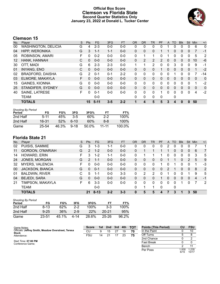# **Official Box Score Clemson vs Florida State Second Quarter Statistics Only January 23, 2022 at Donald L. Tucker Center**



# **Clemson 15**

| No.               | Plaver                     | S | <b>Pts</b>     | <b>FG</b> | 3FG     | <b>FT</b> | <b>OR</b> | <b>DR</b>      | TR             | PF | $\mathsf{A}$ | TO       | <b>Blk</b> | <b>Stl</b> | Min          | $+/-$ |
|-------------------|----------------------------|---|----------------|-----------|---------|-----------|-----------|----------------|----------------|----|--------------|----------|------------|------------|--------------|-------|
| 00                | <b>WASHINGTON, DELICIA</b> | G | 4              | $2 - 3$   | $0 - 0$ | $0 - 0$   | 0         | 0              | 0              | 0  |              | O        | 0          |            | 6            | 0     |
| 04                | <b>HIPP, WERONIKA</b>      | G | 3              | $1 - 1$   | $1 - 1$ | $0 - 0$   | 0         | 0              | 0              |    |              | 0        | 0          | 0          | 7            | -1    |
| 05                | <b>ROBINSON, AMARI</b>     | F | 0              | $0 - 2$   | $0 - 0$ | $0 - 0$   | $\Omega$  |                | 1              | 0  |              | 0        | 0          | 0          | 5            | 2     |
| $12 \overline{ }$ | HANK, HANNAH               | C | 0              | $0 - 0$   | $0 - 0$ | $0 - 0$   | 0         | $\overline{2}$ | $\overline{2}$ | 2  | $\mathbf{0}$ | 0        | 0          | $\Omega$   | 10           | $-6$  |
| 30                | OTT, MADI                  | G | 6              | $2 - 3$   | $2 - 3$ | $0 - 0$   | 1         |                | 2              | 0  | $\Omega$     | 3        | 0          | $\Omega$   | 9            | -1    |
| 01                | <b>INYANG, ENO</b>         | C | $\Omega$       | $0 - 0$   | $0 - 0$ | $0 - 0$   | $\Omega$  | $\Omega$       | $\Omega$       |    | $\Omega$     | 0        | 0          | $\Omega$   | 1            | $-2$  |
| 02                | <b>BRADFORD, DAISHA</b>    | G | $\overline{2}$ | $0 - 1$   | $0 - 1$ | $2 - 2$   | 0         | 0              | 0              | 0  | 0            |          | 0          | 0          |              | -14   |
| 03                | ELMORE, MAKAYLA            | F | 0              | $0 - 0$   | $0 - 0$ | $0 - 0$   | $\Omega$  | $\Omega$       | 0              | 0  | $\Omega$     | $\Omega$ | 0          | $\Omega$   | $\mathbf{0}$ | 0     |
| 15                | <b>GAINES, KIONNA</b>      | G | 0              | $0 - 0$   | $0 - 0$ | $0 - 0$   | 0         | 0              | 0              | 0  | $\Omega$     | 0        | 0          | $\Omega$   | 1            | $-2$  |
| 25                | STANDIFER, SYDNEY          | G | 0              | $0 - 0$   | $0 - 0$ | $0 - 0$   | $\Omega$  | $\Omega$       | 0              | 0  | $\Omega$     | 0        | 0          | $\Omega$   | 0            | 0     |
| 40                | SAINE, LATRESE             | F | 0              | $0 - 1$   | $0 - 0$ | $0 - 0$   | 0         | $\Omega$       | 0              | 1  | $\Omega$     | 0        | 0          | $\Omega$   | 4            | $-2$  |
|                   | <b>TEAM</b>                |   |                | $0 - 0$   |         |           | $\Omega$  | 0              | 0              | 0  |              | 0        |            |            |              |       |
|                   | <b>TOTALS</b>              |   | 15             | $5 - 11$  | $3 - 5$ | $2 - 2$   |           | 4              | 5              | 5  | 3            | 4        | 0          | $\bf{0}$   | 50           |       |

| <b>Shooting By Period</b><br>Period | FG       | FG%   | 3FG      | 3FG%  | FT        | FT%    |
|-------------------------------------|----------|-------|----------|-------|-----------|--------|
| 2nd Half                            | $5 - 11$ | 45%   | 35       | 60%   | $2-2$     | 100%   |
| 2nd Half                            | 16-31    | 52%   | $6-10$   | 60%   | 8-8       | 100%   |
| Game                                | 25-54    | 46.3% | $9 - 18$ | 50.0% | $11 - 11$ | 100.0% |

# **Florida State 21**

| No. | Player                  | S  | Pts            | <b>FG</b> | 3FG     | <b>FT</b> | 0R       | <b>DR</b> | TR | PF       | A | TO | <b>Blk</b>   | Stl            | Min | $+/-$          |
|-----|-------------------------|----|----------------|-----------|---------|-----------|----------|-----------|----|----------|---|----|--------------|----------------|-----|----------------|
| 02  | PUISIS, SAMMIE          | G  | 3              | $1 - 3$   | 1-1     | $0-0$     | 0        | 0         | 0  | 0        | 2 | 0  |              | 0              |     |                |
| 11  | <b>GORDON, O'MARIAH</b> | G  | $\overline{2}$ | $1 - 2$   | $0 - 0$ | $0 - 0$   | 0        | 1         |    |          |   | 0  | 0            | 0              | 6   | 7              |
| 14  | HOWARD, ERIN            | F. | 3              | $1 - 2$   | 1-1     | $0-0$     | 0        |           |    |          | 0 | 0  | 0            | 0              | 3   | 5              |
| 24  | JONES, MORGAN           | G  | 2              | $1 - 1$   | $0 - 0$ | $0 - 0$   | 0        | 0         | 0  | 0        |   |    | 0            | $\overline{2}$ | 5   | 9              |
| 32  | <b>MYERS, VALENCIA</b>  | F. | $\Omega$       | $0 - 0$   | $0 - 0$ | $0 - 0$   | $\Omega$ | 0         | 0  |          | 0 |    | 0            | 0              |     | -3             |
| 00  | JACKSON, BIANCA         | G  | $\Omega$       | $0 - 1$   | $0 - 0$ | $0 - 0$   | 0        | 0         | 0  | 0        | 2 |    | 0            | 0              | 8   | $\overline{2}$ |
| 01  | <b>BALDWIN, RIVER</b>   | С  | 5              | $1 - 1$   | $0 - 0$ | $3 - 3$   | 0        | 2         | 2  | U        |   | 0  | <sup>0</sup> |                | 9   | 5              |
| 04  | <b>BEJEDI, SARA</b>     | G  | $\Omega$       | $0 - 0$   | $0 - 0$ | $0 - 0$   | 0        | $\Omega$  | 0  |          | 0 | 0  | 0            | $\Omega$       | 4   | $-1$           |
| 21  | TIMPSON, MAKAYLA        | F. | 6              | $3 - 3$   | 0-0     | $0 - 0$   | 0        | 0         | 0  | $\Omega$ | 0 | 0  |              | 0              |     | 2              |
|     | <b>TEAM</b>             |    |                | $0-0$     |         |           | 0        | 1         | 1  | 0        |   | 0  |              |                |     |                |
|     | <b>TOTALS</b>           |    | 21             | $8 - 13$  | $2 - 2$ | $3 - 3$   | 0        | 5         | 5  |          |   |    |              | 3              | 50  |                |

| <b>Shooting By Period</b><br>Period | FG       | FG%   | 3FG   | 3FG%  | FТ        | FT%   |
|-------------------------------------|----------|-------|-------|-------|-----------|-------|
| 2nd Half                            | $8-13$   | 62%   | 2-2   | 100%  | $3-3$     | 100%  |
| 2nd Half                            | $9 - 25$ | 36%   | $2-9$ | 22%   | $20 - 21$ | 95%   |
| Game                                | 23-51    | 45.1% | 4-14  | 28.6% | $25 - 26$ | 96.2% |

| Game Notes:                                                         | <b>Score</b> | 1st l | 2nd | $\blacksquare$ 3rd | 4th | <b>TOT</b> | <b>Points (This Period)</b> | CU            | <b>FSU</b>     |
|---------------------------------------------------------------------|--------------|-------|-----|--------------------|-----|------------|-----------------------------|---------------|----------------|
| Officials: Jeffrey Smith, Meadow Overstreet, Teresa<br><b>Stuck</b> | CU           | 9     | 15  | 27                 | 19  | 70         | In the Paint                |               | 10             |
| Attendance:                                                         | FSU          | 14    | 21  |                    | 23  | 75         | Off Turns                   |               |                |
|                                                                     |              |       |     |                    |     |            | 2nd Chance                  |               |                |
| Start Time: 07:00 PM<br>Conference Game:                            |              |       |     |                    |     |            | <b>Fast Break</b>           |               |                |
|                                                                     |              |       |     |                    |     |            | Bench                       |               |                |
|                                                                     |              |       |     |                    |     |            | Per Poss                    | 1.000<br>6/15 | 1.235<br>10/17 |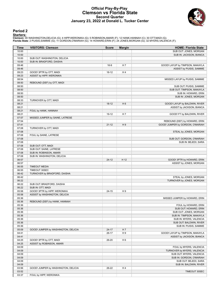## **Official Play-By-Play Clemson vs Florida State Second Quarter January 23, 2022 at Donald L. Tucker Center**



### **Period 2**

<mark>Startersː</mark><br>Clemson: 00 WASHINGTON,DELICIA (G); 4 HIPP,WERONIKA (G); 5 ROBINSON,AMARI (F); 12 HANK,HANNAH (C); 30 OTT,MADI (G);<br>Florida State: 2 PUISIS,SAMMIE (G); 11 GORDON,O'MARIAH (G); 14 HOWARD,ERIN (F); 24 JONES,MORGA

| Time           | <b>VISITORS: Clemson</b>            | <b>Score</b> | <b>Margin</b>  | <b>HOME: Florida State</b>       |
|----------------|-------------------------------------|--------------|----------------|----------------------------------|
| 10:00          |                                     |              |                | SUB OUT: JONES, MORGAN           |
| 10:00          |                                     |              |                | SUB IN: JACKSON, BIANCA          |
| 10:00          | SUB OUT: WASHINGTON, DELICIA        |              |                |                                  |
| 10:00          | SUB IN: BRADFORD, DAISHA            |              |                |                                  |
| 09:46          |                                     | $16-9$       | H 7            | GOOD! LAYUP by TIMPSON, MAKAYLA  |
| 09:46          |                                     |              |                | ASSIST by PUISIS, SAMMIE         |
| 09:23          | GOOD! 3PTR by OTT, MADI             | $16-12$      | H4             |                                  |
| 09:23          | ASSIST by HIPP, WERONIKA            |              |                |                                  |
| 08:54          |                                     |              |                | MISSED LAYUP by PUISIS, SAMMIE   |
| 08:50          | REBOUND (DEF) by OTT, MADI          |              |                |                                  |
| 08:50          |                                     |              |                | SUB OUT: PUISIS, SAMMIE          |
| 08:50          |                                     |              |                | SUB OUT: TIMPSON, MAKAYLA        |
| 08:50          |                                     |              |                | SUB IN: HOWARD, ERIN             |
| 08:50          |                                     |              |                | SUB IN: JONES, MORGAN            |
| 08:33          | TURNOVER by OTT, MADI               |              |                |                                  |
| 08:21          |                                     | $18-12$      | H <sub>6</sub> | GOOD! LAYUP by BALDWIN, RIVER    |
| 08:21          |                                     |              |                | ASSIST by JACKSON, BIANCA        |
| 08:21          | FOUL by HANK, HANNAH                |              |                |                                  |
| 08:21          |                                     | 19-12        | H 7            | GOOD! FT by BALDWIN, RIVER       |
| 07:57          | MISSED JUMPER by SAINE, LATRESE     |              |                |                                  |
| 07:54          |                                     |              |                | REBOUND (DEF) by HOWARD, ERIN    |
| 07:41          |                                     | $21 - 12$    | H9             | GOOD! JUMPER by GORDON, O'MARIAH |
| 07:08          | TURNOVER by OTT, MADI               |              |                |                                  |
| 07:08          |                                     |              |                | STEAL by JONES, MORGAN           |
| 07:08          | FOUL by SAINE, LATRESE              |              |                |                                  |
| 07:08          |                                     |              |                | SUB OUT: GORDON, O'MARIAH        |
| 07:08          |                                     |              |                | SUB IN: BEJEDI, SARA             |
| 07:08          | SUB OUT: OTT, MADI                  |              |                |                                  |
| 07:08          | SUB OUT: SAINE, LATRESE             |              |                |                                  |
| 07:08          | SUB IN: ROBINSON, AMARI             |              |                |                                  |
| 07:08          | SUB IN: WASHINGTON, DELICIA         |              |                |                                  |
| 06:57          |                                     | $24-12$      | H 12           | GOOD! 3PTR by HOWARD, ERIN       |
| 06:57          |                                     |              |                | ASSIST by JONES, MORGAN          |
| 06:55          | <b>TIMEOUT MEDIA</b>                |              |                |                                  |
| 06:55          | TIMEOUT 30SEC                       |              |                |                                  |
| 06:42          | TURNOVER by BRADFORD, DAISHA        |              |                |                                  |
| 06:42          |                                     |              |                | STEAL by JONES, MORGAN           |
| 06:22<br>06:22 | SUB OUT: BRADFORD, DAISHA           |              |                | TURNOVER by JONES, MORGAN        |
| 06:22          | SUB IN: OTT, MADI                   |              |                |                                  |
| 05:58          | GOOD! 3PTR by HIPP, WERONIKA        | $24 - 15$    | H9             |                                  |
| 05:58          | ASSIST by WASHINGTON, DELICIA       |              |                |                                  |
| 05:36          |                                     |              |                | MISSED JUMPER by HOWARD, ERIN    |
| 05:36          | REBOUND (DEF) by HANK, HANNAH       |              |                |                                  |
| 05:36          |                                     |              |                | FOUL by HOWARD, ERIN             |
| 05:36          |                                     |              |                | SUB OUT: HOWARD, ERIN            |
| 05:36          |                                     |              |                | SUB OUT: JONES, MORGAN           |
| 05:36          |                                     |              |                | SUB IN: TIMPSON, MAKAYLA         |
| 05:36          |                                     |              |                | SUB IN: MYERS, VALENCIA          |
| 05:36          |                                     |              |                | SUB OUT: BALDWIN, RIVER          |
| 05:36          |                                     |              |                | SUB IN: PUISIS, SAMMIE           |
| 05:09          | GOOD! JUMPER by WASHINGTON, DELICIA | $24 - 17$    | H 7            |                                  |
| 04:41          |                                     | 26-17        | H9             | GOOD! LAYUP by TIMPSON, MAKAYLA  |
| 04:41          |                                     |              |                | ASSIST by JACKSON, BIANCA        |
| 04:25          | GOOD! 3PTR by OTT, MADI             | 26-20        | H <sub>6</sub> |                                  |
| 04:25          | ASSIST by ROBINSON, AMARI           |              |                |                                  |
| 04:09          |                                     |              |                | FOUL by MYERS, VALENCIA          |
| 04:09          |                                     |              |                | TURNOVER by MYERS, VALENCIA      |
| 04:09          |                                     |              |                | SUB OUT: MYERS, VALENCIA         |
| 04:09          |                                     |              |                | SUB IN: GORDON, O'MARIAH         |
| 04:09          |                                     |              |                | SUB OUT: BEJEDI, SARA            |
| 04:09          |                                     |              |                | SUB IN: BALDWIN, RIVER           |
| 03:56          | GOOD! JUMPER by WASHINGTON, DELICIA | 26-22        | H4             |                                  |
| 03:52          |                                     |              |                | TIMEOUT 30SEC                    |
| 03:37          | FOUL by HIPP, WERONIKA              |              |                |                                  |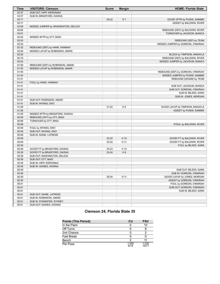| Time  | <b>VISITORS: Clemson</b>             | <b>Score</b> | <b>Margin</b> | <b>HOME: Florida State</b>        |
|-------|--------------------------------------|--------------|---------------|-----------------------------------|
| 03:37 | SUB OUT: HIPP, WERONIKA              |              |               |                                   |
| 03:37 | SUB IN: BRADFORD, DAISHA             |              |               |                                   |
| 03:17 |                                      | 29-22        | H 7           | GOOD! 3PTR by PUISIS, SAMMIE      |
| 03:17 |                                      |              |               | ASSIST by BALDWIN, RIVER          |
| 03:08 | MISSED JUMPER by WASHINGTON, DELICIA |              |               |                                   |
| 03:04 |                                      |              |               | REBOUND (DEF) by BALDWIN, RIVER   |
| 03:01 |                                      |              |               | TURNOVER by JACKSON, BIANCA       |
| 02:54 | MISSED 3PTR by OTT, MADI             |              |               |                                   |
| 02:53 |                                      |              |               | REBOUND (DEF) by TEAM             |
| 02:34 |                                      |              |               | MISSED JUMPER by GORDON, O'MARIAH |
| 02:32 | REBOUND (DEF) by HANK, HANNAH        |              |               |                                   |
| 02:20 | MISSED LAYUP by ROBINSON, AMARI      |              |               |                                   |
| 02:20 |                                      |              |               | BLOCK by TIMPSON, MAKAYLA         |
| 02:15 |                                      |              |               | REBOUND (DEF) by BALDWIN, RIVER   |
| 02:02 |                                      |              |               | MISSED JUMPER by JACKSON, BIANCA  |
| 01:58 | REBOUND (DEF) by ROBINSON, AMARI     |              |               |                                   |
| 01:53 | MISSED LAYUP by ROBINSON, AMARI      |              |               |                                   |
| 01:50 |                                      |              |               | REBOUND (DEF) by GORDON, O'MARIAH |
| 01:43 |                                      |              |               | MISSED JUMPER by PUISIS, SAMMIE   |
| 01:41 |                                      |              |               | REBOUND (DEADB) by TEAM           |
| 01:41 | FOUL by HANK, HANNAH                 |              |               |                                   |
| 01:41 |                                      |              |               | SUB OUT: JACKSON, BIANCA          |
| 01:41 |                                      |              |               | SUB OUT: GORDON, O'MARIAH         |
| 01:41 |                                      |              |               | SUB IN: BEJEDI, SARA              |
| 01:41 |                                      |              |               | SUB IN: JONES, MORGAN             |
| 01:41 | SUB OUT: ROBINSON, AMARI             |              |               |                                   |
| 01:41 | SUB IN: INYANG, ENO                  |              |               |                                   |
| 01:28 |                                      | 31-22        | H9            | GOOD! LAYUP by TIMPSON, MAKAYLA   |
| 01:28 |                                      |              |               | ASSIST by PUISIS, SAMMIE          |
| 01:05 | MISSED 3PTR by BRADFORD, DAISHA      |              |               |                                   |
| 00:59 | REBOUND (OFF) by OTT, MADI           |              |               |                                   |
| 00:59 | TURNOVER by OTT, MADI                |              |               |                                   |
| 00:59 |                                      |              |               | STEAL by BALDWIN, RIVER           |
| 00:59 | FOUL by INYANG, ENO                  |              |               |                                   |
| 00:59 | SUB OUT: INYANG, ENO                 |              |               |                                   |
| 00:59 | SUB IN: SAINE, LATRESE               |              |               |                                   |
| 00:59 |                                      | 32-22        | H 10          | GOOD! FT by BALDWIN, RIVER        |
| 00:59 |                                      | 33-22        | H 11          | GOOD! FT by BALDWIN, RIVER        |
| 00:39 |                                      |              |               | FOUL by BEJEDI, SARA              |
| 00:39 | GOOD! FT by BRADFORD, DAISHA         | 33-23        | H 10          |                                   |
| 00:39 | GOOD! FT by BRADFORD, DAISHA         | 33-24        | H9            |                                   |
| 00:39 | SUB OUT: WASHINGTON, DELICIA         |              |               |                                   |
| 00:39 | SUB OUT: OTT, MADI                   |              |               |                                   |
| 00:39 | SUB IN: HIPP, WERONIKA               |              |               |                                   |
| 00:39 | SUB IN: GAINES, KIONNA               |              |               |                                   |
| 00:39 |                                      |              |               | SUB OUT: BEJEDI, SARA             |
| 00:39 |                                      |              |               | SUB IN: GORDON, O'MARIAH          |
| 00:30 |                                      | 35-24        | H 11          | GOOD! LAYUP by JONES, MORGAN      |
| 00:30 |                                      |              |               | ASSIST by GORDON, O'MARIAH        |
| 00:01 |                                      |              |               | FOUL by GORDON, O'MARIAH          |
| 00:01 |                                      |              |               | SUB OUT: GORDON, O'MARIAH         |
| 00:01 |                                      |              |               | SUB IN: BEJEDI, SARA              |
| 00:01 | SUB OUT: SAINE, LATRESE              |              |               |                                   |
| 00:01 | SUB IN: ROBINSON, AMARI              |              |               |                                   |
| 00:01 | SUB IN: STANDIFER, SYDNEY            |              |               |                                   |
| 00:01 | SUB OUT: GAINES, KIONNA              |              |               |                                   |

# **Clemson 24, Florida State 35**

| <b>Points (This Period)</b> | CU            | <b>FSU</b>     |
|-----------------------------|---------------|----------------|
| In the Paint                |               | 10             |
| Off Turns                   | 5             |                |
| 2nd Chance                  |               |                |
| Fast Break                  |               |                |
| Bench                       | າ             |                |
| Per Poss                    | 1.000<br>6/15 | 1.235<br>10/17 |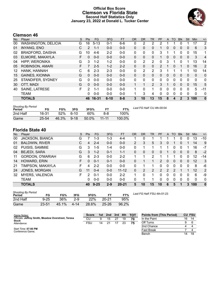# **Official Box Score Clemson vs Florida State Second Half Statistics Only January 23, 2022 at Donald L. Tucker Center**



# **Clemson 46**

| No. | Player                     | S  | <b>Pts</b> | <b>FG</b> | 3FG      | <b>FT</b> | <b>OR</b> | <b>DR</b>    | TR             | PF             | A        | TO           | <b>Blk</b>   | Stl      | Min      | $+/-$          |
|-----|----------------------------|----|------------|-----------|----------|-----------|-----------|--------------|----------------|----------------|----------|--------------|--------------|----------|----------|----------------|
| 00  | <b>WASHINGTON, DELICIA</b> | G  | 16         | $5 - 13$  | 0-1      | $6-6$     | 0         | 2            | 2              | 2              |          |              | 0            | 1        | 17       | 2              |
| 01  | <b>INYANG, ENO</b>         |    | 2          | $1 - 1$   | $0 - 0$  | $0 - 0$   | 0         | $\Omega$     | 0              | 1.             | $\Omega$ | $\mathbf{0}$ | $\mathbf{0}$ | 0        | 6        | 3              |
| 02  | <b>BRADFORD, DAISHA</b>    | G  | 10         | $4-6$     | $2 - 2$  | $0 - 0$   | 0         | 0            | 0              | 3              |          |              | 0            | 0        | 15       | 1              |
| 03  | ELMORE, MAKAYLA            | F  | 0          | $0 - 0$   | $0 - 0$  | $0 - 0$   | 0         | $\Omega$     | 0              | 1              | $\Omega$ | 0            | $\Omega$     | $\Omega$ | 3        | $\overline{4}$ |
| 04  | HIPP, WERONIKA             | G  | 3          | $1 - 2$   | $1 - 2$  | $0 - 0$   | 0         | 2            | $\overline{2}$ | 0              | 3        | 1            | 0            | 1        | 13       | 14             |
| 05  | ROBINSON, AMARI            | F  |            | $2 - 5$   | $1 - 2$  | $2 - 2$   | 0         | $\mathbf{0}$ | 0              | $\overline{2}$ |          | 0            |              | 0        | 16       | $\overline{2}$ |
| 12  | HANK, HANNAH               | С  | 6          | $2 - 3$   | $2 - 3$  | $0 - 0$   | 0         | 2            | $\overline{2}$ | 3              | 1        |              |              | 1        | 10       | 14             |
| 15  | <b>GAINES, KIONNA</b>      | G  | $\Omega$   | $0 - 0$   | $0 - 0$  | $0 - 0$   | 0         | 0            | 0              | 0              | 0        | 0            | $\Omega$     | 0        | 0        | 0              |
| 25  | STANDIFER, SYDNEY          | G  | 0          | $0 - 0$   | $0 - 0$  | $0 - 0$   | 0         | $\Omega$     | 0              | 0              | 0        | 0            | $\Omega$     | 0        | 0        | 0              |
| 30  | OTT, MADI                  | G  | $\Omega$   | $0 - 0$   | $0 - 0$  | $0 - 0$   |           | 1            | $\overline{2}$ | 3              |          | 0            | $\Omega$     | $\Omega$ | 15       | 5              |
| 40  | SAINE, LATRESE             | F. | 2          | $1 - 1$   | $0 - 0$  | $0 - 0$   | 1         | $\Omega$     | 1              | $\Omega$       | 0        | 0            | $\Omega$     | $\Omega$ | 5        | $-11$          |
|     | <b>TEAM</b>                |    | 0          | $0 - 0$   | $0 - 0$  | $0 - 0$   |           | 3            | 4              | 0              | 0        | 0            | $\Omega$     | 0        | $\Omega$ | 0              |
|     | <b>TOTALS</b>              |    | 46         | 16-31     | $6 - 10$ | $8 - 8$   | 3         | 10           | 13             | 15             | 8        | 4            | $\mathbf 2$  | 3        | 100      | $\bf{0}$       |

| <b>Shooting By Period</b><br>Period | FG        | FG%   | 3FG    | 3FG%  | FT.       | FT%       | Last FG Half: CU 4th-00:04 |
|-------------------------------------|-----------|-------|--------|-------|-----------|-----------|----------------------------|
| 2nd Half                            | 16-31     | 52%   | .6-10  | 60%   | 8-8       | 100%      |                            |
| Game                                | $25 - 54$ | 46.3% | $9-18$ | 50.0% | $11 - 11$ | $100.0\%$ |                            |

# **Florida State 40**

| No. | Plaver                  | S  | <b>Pts</b> | <b>FG</b> | 3FG     | <b>FT</b> | <b>OR</b> | DR       | TR             | PF            | A             | TO            | <b>Blk</b>     | Stl          | Min | $+/-$        |
|-----|-------------------------|----|------------|-----------|---------|-----------|-----------|----------|----------------|---------------|---------------|---------------|----------------|--------------|-----|--------------|
| 00  | JACKSON, BIANCA         | G  | 7          | $1 - 3$   | 1-3     | $4 - 4$   |           | 0        |                |               |               |               | 0              | 0            | 13  | $-10$        |
| 01  | <b>BALDWIN, RIVER</b>   | C  | 4          | 2-4       | $0 - 0$ | $0 - 0$   | 2         | 3        | 5              | 3             | 0             |               | 0              |              | 14  | 9            |
| 02  | PUISIS, SAMMIE          | G  | 3          | $1 - 5$   | $1 - 4$ | $0-0$     | 0         |          |                |               | 1             | 0             | 0              |              | 16  | $-7$         |
| 04  | <b>BEJEDI, SARA</b>     | G  | 3          | $1 - 2$   | $0 - 1$ | $1 - 1$   | 0         | 0        | $\overline{0}$ | 0             |               | 0             | $\overline{0}$ | 0            | 8   | $-2$         |
| 11  | <b>GORDON, O'MARIAH</b> | G  | 6          | $2 - 3$   | $0 - 0$ | $2 - 2$   |           |          | 2              |               |               |               | 0              | 0            | 12  | $-14$        |
| 14  | HOWARD, ERIN            | F. | $\Omega$   | $0 - 1$   | $0 - 1$ | $0 - 0$   | 0         |          |                | $\mathcal{P}$ | $\Omega$      | 0             | $\Omega$       | 0            | 12  | 3            |
| 21  | TIMPSON, MAKAYLA        | F. | 4          | $2 - 2$   | $0 - 0$ | $0 - 0$   | 0         |          |                | 0             | 0             | 0             | $\Omega$       | 0            | 8   | -6           |
| 24  | JONES, MORGAN           | G  | 11         | $0 - 4$   | $0 - 0$ | $11 - 12$ | 0         | 2        | 2              | $\mathcal{P}$ | $\mathcal{P}$ | $\mathcal{P}$ |                |              | 12  | 2            |
| 32  | <b>MYERS, VALENCIA</b>  | F. | 2          | $0 - 1$   | $0 - 0$ | $2 - 2$   | 1.        | $\Omega$ |                | 0             | 0             | 0             | 0              | <sup>0</sup> | 6   | -9           |
|     | <b>TEAM</b>             |    | 0          | $0 - 0$   | $0 - 0$ | $0 - 0$   | 0         |          |                | U             | 0             | 0             | 0              | 0            | 0   | 0            |
|     | <b>TOTALS</b>           |    | 40         | $9 - 25$  | $2 - 9$ | $20 - 21$ | 5         | 10       | 15             | 10            | 6             | 5             |                | 3            | 100 | $\mathbf{0}$ |

| <b>Shooting By Period</b><br>Period | FG        | FG%   | 3FG      | 3FG%  | FТ        | FT%   |
|-------------------------------------|-----------|-------|----------|-------|-----------|-------|
| 2nd Half                            | $9 - 25$  | 36%   | $2-9$    | 22%   | $20 - 21$ | 95%   |
| Game                                | $23 - 51$ | 45.1% | $4 - 14$ | 28.6% | $25 - 26$ | 96.2% |

*Last FG Half:* FSU 4th-01:23

| Game Notes:                                                         | Score | 1st | 2nd | 3rd | 4th | TOT | <b>Points from (This Period)</b> |    | <b>CU FSU</b> |
|---------------------------------------------------------------------|-------|-----|-----|-----|-----|-----|----------------------------------|----|---------------|
| Officials: Jeffrey Smith, Meadow Overstreet, Teresa<br><b>Stuck</b> | СU    |     | 15  |     | 19  |     | In the Paint                     | 16 | 14            |
| Attendance:                                                         | FSU   | 14  |     |     |     |     | Off Turns                        |    |               |
|                                                                     |       |     |     |     |     |     | 2nd Chance                       |    |               |
| Start Time: 07:00 PM<br>Conference Game;                            |       |     |     |     |     |     | Fast Break                       |    |               |
|                                                                     |       |     |     |     |     |     | Bench                            | 14 | 18            |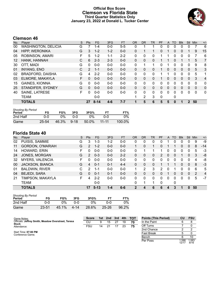# **Official Box Score Clemson vs Florida State Third Quarter Statistics Only January 23, 2022 at Donald L. Tucker Center**



# **Clemson 46**

| No.               | Plaver                     | S  | <b>Pts</b>    | <b>FG</b> | 3FG     | <b>FT</b> | <b>OR</b>    | DR       | <b>TR</b> | <b>PF</b> | A        | TO       | <b>B</b> lk | Stl          | Min      | $+/-$          |
|-------------------|----------------------------|----|---------------|-----------|---------|-----------|--------------|----------|-----------|-----------|----------|----------|-------------|--------------|----------|----------------|
| 00                | <b>WASHINGTON, DELICIA</b> | G  |               | 1-4       | $0 - 0$ | $5-5$     | 0            |          |           | 0         | 0        | 0        | 0           | 0            |          | 6              |
| 04                | <b>HIPP, WERONIKA</b>      | G  | 3             | $1 - 2$   | $1 - 2$ | $0 - 0$   | $\Omega$     |          |           | 0         |          | $\Omega$ | 0           |              | 9        | 15             |
| 05                | ROBINSON, AMARI            | F  | 5             | $1-2$     | $1 - 1$ | $2 - 2$   | 0            | 0        | 0         |           |          | 0        | 0           | 0            |          | 6              |
| $12 \overline{ }$ | HANK, HANNAH               | C  | 6             | $2 - 3$   | $2 - 3$ | $0 - 0$   | $\mathbf{0}$ | $\Omega$ | 0         |           |          | 0        |             |              | 5        | 7              |
| 30                | OTT, MADI                  | G  | 0             | $0 - 0$   | $0 - 0$ | $0-0$     | $\Omega$     |          | 1         | 0         |          | 0        | 0           | 0            | 9        | 8              |
| 01                | <b>INYANG, ENO</b>         | C  | $\mathcal{P}$ | $1 - 1$   | $0 - 0$ | $0 - 0$   | $\Omega$     | $\Omega$ | 0         |           | $\Omega$ | $\Omega$ | $\Omega$    | $\Omega$     | 5        | 3              |
| 02                | <b>BRADFORD, DAISHA</b>    | G  | 4             | $2 - 2$   | $0 - 0$ | $0 - 0$   | $\Omega$     | $\Omega$ | 0         |           |          | 0        | 0           | $\Omega$     | 5        | 1              |
| 03                | ELMORE, MAKAYLA            | F  | $\Omega$      | $0 - 0$   | $0 - 0$ | $0 - 0$   | $\mathbf{0}$ | $\Omega$ | 0         |           | 0        | $\Omega$ | $\Omega$    | $\mathbf{0}$ | 3        | $\overline{4}$ |
| 15                | <b>GAINES, KIONNA</b>      | G  | 0             | $0 - 0$   | $0 - 0$ | $0 - 0$   | $\Omega$     | $\Omega$ | 0         | 0         | 0        | 0        | 0           | $\Omega$     | $\Omega$ | $\mathbf{0}$   |
| 25                | STANDIFER, SYDNEY          | G  | $\Omega$      | $0 - 0$   | $0 - 0$ | $0 - 0$   | $\Omega$     | $\Omega$ | 0         | 0         | 0        | $\Omega$ | 0           | $\Omega$     | $\Omega$ | $\mathbf{0}$   |
| 40                | SAINE, LATRESE             | F. | 0             | $0 - 0$   | $0 - 0$ | $0 - 0$   | $\Omega$     | $\Omega$ | 0         | $\Omega$  | $\Omega$ | $\Omega$ | $\Omega$    | $\Omega$     | $\Omega$ | $\mathbf{0}$   |
|                   | TEAM                       |    |               | $0 - 0$   |         |           |              | 2        | 3         | $\Omega$  |          | 0        |             |              |          |                |
|                   | <b>TOTALS</b>              |    | 27            | $8 - 14$  | $4 - 6$ | $7 - 7$   |              | 5        | 6         | 5         | 5        | $\bf{0}$ |             | 2            | 50       |                |

| <b>Shooting By Period</b><br>Period | FG        | FG%   | 3FG      | 3FG%  |           | FT%    |
|-------------------------------------|-----------|-------|----------|-------|-----------|--------|
| 2nd Half                            | ი-ი       | 0%    | 0-0      | በ%    | ი-ი       | 0%     |
| Game                                | $25 - 54$ | 46.3% | $9 - 18$ | 50.0% | $11 - 11$ | 100.0% |

# **Florida State 40**

| No. | Plaver                  | S  | <b>Pts</b> | <b>FG</b> | 3FG     | <b>FT</b> | <b>OR</b> | <b>DR</b> | <b>TR</b>    | <b>PF</b> | A        | TO           | <b>Blk</b> | <b>Stl</b> | Min | $+/-$          |
|-----|-------------------------|----|------------|-----------|---------|-----------|-----------|-----------|--------------|-----------|----------|--------------|------------|------------|-----|----------------|
| 02  | PUISIS, SAMMIE          | G  | 3          | 1-3       | 1-2     | $0-0$     | 0         | 0         | 0            | 0         |          |              | 0          | 0          | 9   | -9             |
| 11  | <b>GORDON, O'MARIAH</b> | G  | 2          | $1 - 2$   | $0 - 0$ | $0 - 0$   |           | 0         | 1            | 0         |          |              | 0          | $\Omega$   | 8   | $-14$          |
| 14  | HOWARD, ERIN            | F. | 0          | $0 - 0$   | $0 - 0$ | $0 - 0$   | 0         |           |              |           | 0        | 0            | 0          | 0          | 5   | -3             |
| 24  | JONES, MORGAN           | G  | 2          | $0 - 3$   | $0 - 0$ | $2 - 2$   | $\Omega$  | 0         | 0            | 2         | $\Omega$ | $\Omega$     |            | 0          | 3   | -8             |
| 32  | <b>MYERS, VALENCIA</b>  | F. | 0          | $0 - 0$   | $0 - 0$ | $0-0$     | 0         | 0         | $\mathbf{0}$ | 0         | 0        | 0            | 0          | 0          | 4   | -8             |
| 00  | JACKSON, BIANCA         | G  | 4          | $0 - 1$   | $0 - 1$ | $4 - 4$   | 0         | 0         | 0            |           |          |              | 0          | $\Omega$   | 8   | $-3$           |
| 01  | <b>BALDWIN, RIVER</b>   | С  | 2          | 1-1       | $0 - 0$ | $0-0$     | 1         | 2         | 3            | 2         | 0        |              | 0          | 0          | 6   | 5              |
| 04  | <b>BEJEDI, SARA</b>     | G  | 0          | $0 - 1$   | $0 - 1$ | $0 - 0$   | 0         | 0         | 0            | 0         |          | $\Omega$     | 0          | $\Omega$   | 2   | $\overline{4}$ |
| 21  | TIMPSON, MAKAYLA        | F. | 4          | $2 - 2$   | $0 - 0$ | $0 - 0$   | 0         | 0         | $\Omega$     | 0         | 0        | <sup>0</sup> | 0          | 0          | 5   | $-7$           |
|     | TEAM                    |    |            | $0 - 0$   |         |           | 0         |           | 1            | 0         |          | 0            |            |            |     |                |
|     | <b>TOTALS</b>           |    | 17         | $5 - 13$  | $1 - 4$ | $6-6$     | 2         | 4         | 6            | 6         | 4        | 3            | 1          | 0          | 50  |                |

| Shooting By Period<br>Period | FG        | FG%   | 3FG      | 3FG%  |           | FT%   |
|------------------------------|-----------|-------|----------|-------|-----------|-------|
| 2nd Half                     | 0-0       | $0\%$ | በ-በ      | ገ%    | ი-ი       | $0\%$ |
| Game                         | $23 - 51$ | 45.1% | $4 - 14$ | 28.6% | $25 - 26$ | 96.2% |

| Game Notes:                                         | <b>Score</b> | 1st | ⊤ 2nd | 3rd | 4th | <b>TOT</b> | <b>Points (This Period)</b> | CU           | <b>FSU</b>    |
|-----------------------------------------------------|--------------|-----|-------|-----|-----|------------|-----------------------------|--------------|---------------|
| Officials: Jeffrey Smith, Meadow Overstreet, Teresa | CU           |     | 15    | 27  | 19  | 70         | In the Paint                |              |               |
| <b>Stuck</b><br>Attendance:                         | <b>FSU</b>   | 14  |       |     | 23  | 75         | Off Turns                   |              |               |
|                                                     |              |     |       |     |     |            | 2nd Chance                  |              |               |
| Start Time: 07:00 PM<br>Conference Game:            |              |     |       |     |     |            | Fast Break                  |              |               |
|                                                     |              |     |       |     |     |            | Bench                       |              | 10            |
|                                                     |              |     |       |     |     |            | Per Poss                    | .588<br>12/1 | 1.063<br>8/16 |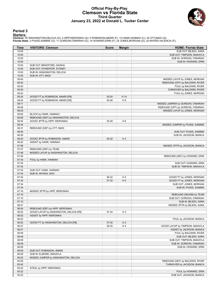## **Official Play-By-Play Clemson vs Florida State Third Quarter January 23, 2022 at Donald L. Tucker Center**



### **Period 3**

<mark>Startersː</mark><br>Clemson: 00 WASHINGTON,DELICIA (G); 4 HIPP,WERONIKA (G); 5 ROBINSON,AMARI (F); 12 HANK,HANNAH (C); 30 OTT,MADI (G);<br>Florida State: 2 PUISIS,SAMMIE (G); 11 GORDON,O'MARIAH (G); 14 HOWARD,ERIN (F); 24 JONES,MORGA

| <b>Time</b> | <b>VISITORS: Clemson</b>                | <b>Score</b> | <b>Margin</b>  | <b>HOME: Florida State</b>        |
|-------------|-----------------------------------------|--------------|----------------|-----------------------------------|
| 10:00       |                                         |              |                | SUB OUT: BEJEDI, SARA             |
| 10:00       |                                         |              |                | SUB OUT: TIMPSON, MAKAYLA         |
| 10:00       |                                         |              |                | SUB IN: GORDON, O'MARIAH          |
| 10:00       |                                         |              |                | SUB IN: HOWARD, ERIN              |
| 10:00       | SUB OUT: BRADFORD, DAISHA               |              |                |                                   |
| 10:00       | SUB OUT: STANDIFER, SYDNEY              |              |                |                                   |
| 10:00       | SUB IN: WASHINGTON, DELICIA             |              |                |                                   |
| 10:00       | SUB IN: OTT, MADI                       |              |                |                                   |
| 09:45       |                                         |              |                | MISSED LAYUP by JONES, MORGAN     |
| 09:42       |                                         |              |                | REBOUND (OFF) by BALDWIN, RIVER   |
| 09:30       |                                         |              |                | FOUL by BALDWIN, RIVER            |
| 09:30       |                                         |              |                | TURNOVER by BALDWIN, RIVER        |
| 09:24       |                                         |              |                | FOUL by JONES, MORGAN             |
| 09:24       | GOOD! FT by ROBINSON, AMARI [FB]        | 35-25        | H 10           |                                   |
| 09:24       | GOOD! FT by ROBINSON, AMARI [FB]        | 35-26        | H9             |                                   |
|             |                                         |              |                |                                   |
| 09:11       |                                         |              |                | MISSED JUMPER by GORDON, O'MARIAH |
| 09:08       |                                         |              |                | REBOUND (OFF) by GORDON, O'MARIAH |
| 09:05       |                                         |              |                | MISSED LAYUP by JONES, MORGAN     |
| 09:05       | BLOCK by HANK, HANNAH                   |              |                |                                   |
| 08:56       | REBOUND (DEF) by WASHINGTON, DELICIA    |              |                |                                   |
| 08:54       | GOOD! 3PTR by HIPP, WERONIKA            | 35-29        | H <sub>6</sub> |                                   |
| 08:34       |                                         |              |                | MISSED JUMPER by PUISIS, SAMMIE   |
| 08:31       | REBOUND (DEF) by OTT, MADI              |              |                |                                   |
| 08:26       |                                         |              |                | SUB OUT: PUISIS, SAMMIE           |
| 08:26       |                                         |              |                | SUB IN: JACKSON, BIANCA           |
| 08:20       | GOOD! 3PTR by ROBINSON, AMARI           | 35-32        | $H_3$          |                                   |
| 08:20       | ASSIST by HANK, HANNAH                  |              |                |                                   |
| 07:58       |                                         |              |                | MISSED 3PTR by JACKSON, BIANCA    |
| 07:57       | REBOUND (DEF) by TEAM                   |              |                |                                   |
| 07:48       | MISSED LAYUP by WASHINGTON, DELICIA     |              |                |                                   |
| 07:46       |                                         |              |                | REBOUND (DEF) by HOWARD, ERIN     |
| 07:34       | FOUL by HANK, HANNAH                    |              |                |                                   |
| 07:34       |                                         |              |                | SUB OUT: HOWARD, ERIN             |
| 07:34       |                                         |              |                | SUB IN: TIMPSON, MAKAYLA          |
| 07:34       | SUB OUT: HANK, HANNAH                   |              |                |                                   |
| 07:34       | SUB IN: INYANG, ENO                     |              |                |                                   |
| 07:34       |                                         | 36-32        | H4             | GOOD! FT by JONES, MORGAN         |
| 07:34       |                                         | 37-32        | H <sub>5</sub> | GOOD! FT by JONES, MORGAN         |
| 07:34       |                                         |              |                | SUB OUT: JONES, MORGAN            |
| 07:34       |                                         |              |                | SUB IN: PUISIS, SAMMIE            |
| 07:16       | MISSED 3PTR by HIPP, WERONIKA           |              |                |                                   |
| 07:10       |                                         |              |                | REBOUND (DEADB) by TEAM           |
| 07:10       |                                         |              |                | SUB OUT: GORDON, O'MARIAH         |
| 07:10       |                                         |              |                | SUB IN: BEJEDI, SARA              |
| 06:57       |                                         |              |                | MISSED 3PTR by BEJEDI, SARA       |
| 06:54       | REBOUND (DEF) by HIPP, WERONIKA         |              |                |                                   |
| 06:52       | GOOD! LAYUP by WASHINGTON, DELICIA [FB] | 37-34        | $H_3$          |                                   |
| 06:52       | ASSIST by HIPP, WERONIKA                |              |                |                                   |
| 06:52       |                                         |              |                | FOUL by JACKSON, BIANCA           |
| 06:52       | GOOD! FT by WASHINGTON, DELICIA [FB]    | 37-35        | H <sub>2</sub> |                                   |
| 06:27       |                                         | 39-35        | H <sub>4</sub> | GOOD! LAYUP by TIMPSON, MAKAYLA   |
| 06:27       |                                         |              |                | ASSIST by JACKSON, BIANCA         |
| 06:09       |                                         |              |                | FOUL by BALDWIN, RIVER            |
| 06:09       |                                         |              |                | SUB OUT: BEJEDI, SARA             |
| 06:09       |                                         |              |                | SUB OUT: TIMPSON, MAKAYLA         |
| 06:09       |                                         |              |                | SUB IN: GORDON, O'MARIAH          |
| 06:09       |                                         |              |                | SUB IN: HOWARD, ERIN              |
| 06:09       | SUB OUT: ROBINSON, AMARI                |              |                |                                   |
|             |                                         |              |                |                                   |
| 06:09       | SUB IN: ELMORE, MAKAYLA                 |              |                |                                   |
| 06:02       | MISSED JUMPER by WASHINGTON, DELICIA    |              |                |                                   |
| 05:59       |                                         |              |                | REBOUND (DEF) by BALDWIN, RIVER   |
| 05:42       |                                         |              |                | TURNOVER by JACKSON, BIANCA       |
| 05:42       | STEAL by HIPP, WERONIKA                 |              |                |                                   |
| 05:22       |                                         |              |                | FOUL by HOWARD, ERIN              |
| 05:22       |                                         |              |                | SUB OUT: JACKSON, BIANCA          |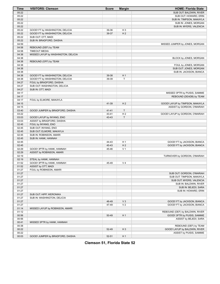| Time           | <b>VISITORS: Clemson</b>            | <b>Score</b> | <b>Margin</b>  | <b>HOME: Florida State</b>                                 |
|----------------|-------------------------------------|--------------|----------------|------------------------------------------------------------|
| 05:22          |                                     |              |                | SUB OUT: BALDWIN, RIVER                                    |
| 05:22          |                                     |              |                | SUB OUT: HOWARD, ERIN                                      |
| 05:22          |                                     |              |                | SUB IN: TIMPSON, MAKAYLA                                   |
| 05:22          |                                     |              |                | SUB IN: JONES, MORGAN                                      |
| 05:22          |                                     |              |                | SUB IN: MYERS, VALENCIA                                    |
| 05:22          | GOOD! FT by WASHINGTON, DELICIA     | 39-36        | H <sub>3</sub> |                                                            |
| 05:22          | GOOD! FT by WASHINGTON, DELICIA     | 39-37        | H <sub>2</sub> |                                                            |
| 05:22          | SUB OUT: OTT, MADI                  |              |                |                                                            |
| 05:22          | SUB IN: BRADFORD, DAISHA            |              |                |                                                            |
| 04:59          |                                     |              |                | MISSED JUMPER by JONES, MORGAN                             |
| 04:58          | REBOUND (DEF) by TEAM               |              |                |                                                            |
| 04:58          | <b>TIMEOUT MEDIA</b>                |              |                |                                                            |
| 04:38          | MISSED LAYUP by WASHINGTON, DELICIA |              |                |                                                            |
| 04:38          |                                     |              |                | BLOCK by JONES, MORGAN                                     |
| 04:38          | REBOUND (OFF) by TEAM               |              |                |                                                            |
| 04:38          |                                     |              |                | FOUL by JONES, MORGAN                                      |
| 04:38          |                                     |              |                | SUB OUT: JONES, MORGAN                                     |
| 04:38          |                                     |              |                | SUB IN: JACKSON, BIANCA                                    |
| 04:38          | GOOD! FT by WASHINGTON, DELICIA     | 39-38        | H <sub>1</sub> |                                                            |
| 04:38          | GOOD! FT by WASHINGTON, DELICIA     | 39-39        | Т              |                                                            |
| 04:27          | FOUL by BRADFORD, DAISHA            |              |                |                                                            |
| 04:27          | SUB OUT: WASHINGTON, DELICIA        |              |                |                                                            |
| 04:27          | SUB IN: OTT, MADI                   |              |                |                                                            |
| 04:17          |                                     |              |                | MISSED 3PTR by PUISIS, SAMMIE<br>REBOUND (DEADB) by TEAM   |
| 04:17<br>04:17 |                                     |              |                |                                                            |
| 04:15          | FOUL by ELMORE, MAKAYLA             | 41-39        | H <sub>2</sub> | GOOD! LAYUP by TIMPSON, MAKAYLA                            |
| 04:15          |                                     |              |                | ASSIST by GORDON, O'MARIAH                                 |
| 03:40          | GOOD! JUMPER by BRADFORD, DAISHA    | $41 - 41$    | $\top$         |                                                            |
| 03:22          |                                     | 43-41        | H <sub>2</sub> | GOOD! LAYUP by GORDON, O'MARIAH                            |
| 03:03          | GOOD! LAYUP by INYANG, ENO          | 43-43        | T              |                                                            |
| 03:03          | ASSIST by BRADFORD, DAISHA          |              |                |                                                            |
| 02:45          | FOUL by INYANG, ENO                 |              |                |                                                            |
| 02:45          | SUB OUT: INYANG, ENO                |              |                |                                                            |
| 02:45          | SUB OUT: ELMORE, MAKAYLA            |              |                |                                                            |
| 02:45          | SUB IN: ROBINSON, AMARI             |              |                |                                                            |
| 02:45          | SUB IN: HANK, HANNAH                |              |                |                                                            |
| 02:45          |                                     | 44-43        | H <sub>1</sub> | GOOD! FT by JACKSON, BIANCA                                |
| 02:45          |                                     | 45-43        | H <sub>2</sub> | GOOD! FT by JACKSON, BIANCA                                |
| 02:29          | GOOD! 3PTR by HANK, HANNAH          | 45-46        | V <sub>1</sub> |                                                            |
| 02:29          | ASSIST by ROBINSON, AMARI           |              |                |                                                            |
| 02:19          |                                     |              |                | TURNOVER by GORDON, O'MARIAH                               |
| 02:19          | STEAL by HANK, HANNAH               |              |                |                                                            |
| 01:52          | GOOD! 3PTR by HANK, HANNAH          | 45-49        | V <sub>4</sub> |                                                            |
| 01:52          | ASSIST by OTT, MADI                 |              |                |                                                            |
| 01:27          | FOUL by ROBINSON, AMARI             |              |                |                                                            |
| 01:27          |                                     |              |                | SUB OUT: GORDON, O'MARIAH                                  |
| 01:27          |                                     |              |                | SUB OUT: TIMPSON, MAKAYLA                                  |
| 01:27          |                                     |              |                | SUB OUT: MYERS, VALENCIA                                   |
| 01:27          |                                     |              |                | SUB IN: BALDWIN, RIVER                                     |
| 01:27          |                                     |              |                | SUB IN: BEJEDI, SARA                                       |
| 01:27          |                                     |              |                | SUB IN: HOWARD, ERIN                                       |
| 01:27          | SUB OUT: HIPP, WERONIKA             |              |                |                                                            |
| 01:27          | SUB IN: WASHINGTON, DELICIA         |              |                |                                                            |
| 01:27          |                                     | 46-49        | $V_3$          | GOOD! FT by JACKSON, BIANCA<br>GOOD! FT by JACKSON, BIANCA |
| 01:27<br>01:14 | MISSED LAYUP by ROBINSON, AMARI     | 47-49        | V <sub>2</sub> |                                                            |
| 01:12          |                                     |              |                | REBOUND (DEF) by BALDWIN, RIVER                            |
| 00:56          |                                     | 50-49        | H <sub>1</sub> | GOOD! 3PTR by PUISIS, SAMMIE                               |
| 00:56          |                                     |              |                | ASSIST by BEJEDI, SARA                                     |
| 00:41          | MISSED 3PTR by HANK, HANNAH         |              |                |                                                            |
| 00:38          |                                     |              |                | REBOUND (DEF) by TEAM                                      |
| 00:22          |                                     | 52-49        | $H_3$          | GOOD! LAYUP by BALDWIN, RIVER                              |
| 00:22          |                                     |              |                | ASSIST by PUISIS, SAMMIE                                   |
| 00:03          | GOOD! JUMPER by BRADFORD, DAISHA    | 52-51        | H <sub>1</sub> |                                                            |
|                |                                     |              |                |                                                            |

**Clemson 51, Florida State 52**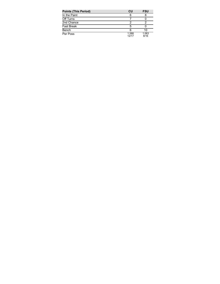| <b>Points (This Period)</b> | CU             | <b>FSU</b>    |
|-----------------------------|----------------|---------------|
| In the Paint                | 6              |               |
| Off Turns                   |                |               |
| 2nd Chance                  |                |               |
| <b>Fast Break</b>           | 5              |               |
| Bench                       |                | 10            |
| Per Poss                    | 1.588<br>12/17 | 1.063<br>8/16 |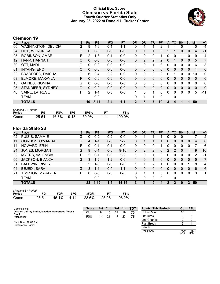# **Official Box Score Clemson vs Florida State Fourth Quarter Statistics Only January 23, 2022 at Donald L. Tucker Center**



# **Clemson 19**

| No. | Plaver                     | S | Pts           | <b>FG</b> | 3FG     | <b>FT</b> | <b>OR</b>      | <b>DR</b>    | <b>TR</b> | PF | A            | TO           | <b>Blk</b> | <b>Stl</b> | Min          | $+/-$          |
|-----|----------------------------|---|---------------|-----------|---------|-----------|----------------|--------------|-----------|----|--------------|--------------|------------|------------|--------------|----------------|
| 00  | <b>WASHINGTON, DELICIA</b> | G | 9             | $4-9$     | $0 - 1$ | 1-1       | 0              |              |           | 2  |              |              |            |            | 10           | $-4$           |
| 04  | <b>HIPP, WERONIKA</b>      | G | 0             | $0 - 0$   | $0 - 0$ | $0 - 0$   | $\Omega$       |              | 1         | 0  | 2            |              | 0          | $\Omega$   | 4            | $-1$           |
| 05  | ROBINSON, AMARI            | F | 2             | $1 - 3$   | $0 - 1$ | $0 - 0$   | 0              | 0            | 0         |    | 0            | 0            |            | 0          | 9            | $-4$           |
| 12  | HANK, HANNAH               | C | 0             | $0 - 0$   | $0 - 0$ | $0 - 0$   | $\Omega$       | 2            | 2         | 2  | 0            |              | 0          | 0          | 5            | 7              |
| 30  | OTT, MADI                  | G | $\Omega$      | $0 - 0$   | $0 - 0$ | $0 - 0$   | 1.             | $\Omega$     | 1         | 3  | 0            | $\Omega$     | 0          | 0          | 6            | $-3$           |
| 01  | <b>INYANG, ENO</b>         | C | $\Omega$      | $0 - 0$   | $0 - 0$ | $0 - 0$   | $\Omega$       | 0            | 0         | 0  | $\mathbf{0}$ | $\Omega$     | 0          | $\Omega$   |              | $\mathbf 0$    |
| 02  | <b>BRADFORD, DAISHA</b>    | G | 6             | $2 - 4$   | $2 - 2$ | $0 - 0$   | $\Omega$       | 0            | 0         | 2  | 0            |              | 0          | 0          | 10           | 0              |
| 03  | ELMORE, MAKAYLA            | F | 0             | $0 - 0$   | $0 - 0$ | $0 - 0$   | $\mathbf{0}$   | $\mathbf{0}$ | 0         | 0  | $\mathbf{0}$ | $\mathbf{0}$ | 0          | $\Omega$   | $\mathbf{0}$ | 0              |
| 15  | <b>GAINES, KIONNA</b>      | G | 0             | $0 - 0$   | $0 - 0$ | $0 - 0$   | $\Omega$       | 0            | 0         | 0  | 0            | 0            | 0          | $\Omega$   | $\Omega$     | 0              |
| 25  | STANDIFER, SYDNEY          | G | 0             | $0 - 0$   | $0 - 0$ | $0 - 0$   | $\Omega$       | $\Omega$     | $\Omega$  | 0  | $\Omega$     | $\Omega$     | $\Omega$   | $\Omega$   | $\Omega$     | $\overline{0}$ |
| 40  | <b>SAINE, LATRESE</b>      | F | $\mathcal{P}$ | $1 - 1$   | $0 - 0$ | $0 - 0$   | 1              | $\Omega$     | 1         | 0  | $\Omega$     | 0            | 0          | 0          | 5            | $-11$          |
|     | TEAM                       |   |               | $0 - 0$   |         |           | 0              |              | 1         | 0  |              | 0            |            |            |              |                |
|     | <b>TOTALS</b>              |   | 19            | $8 - 17$  | $2 - 4$ | $1 - 1$   | $\overline{2}$ | 5            | 7         | 10 | 3            | 4            | 1          | 1          | 50           |                |

| <b>Shooting By Period</b> |       |       |          |       |           |        |
|---------------------------|-------|-------|----------|-------|-----------|--------|
| Period                    | FG    | FG%   | 3FG      | 3FG%  |           | FT%    |
| Game                      | 25-54 | 46.3% | $9 - 18$ | 50.0% | $11 - 11$ | 100.0% |

# **Florida State 23**

| No. | Plaver                 | S | <b>Pts</b> | <b>FG</b> | 3FG     | <b>FT</b> | 0R       | <b>DR</b> | TR             | PF | A              | TO | <b>B</b> lk | Stl | Min | $+/-$          |
|-----|------------------------|---|------------|-----------|---------|-----------|----------|-----------|----------------|----|----------------|----|-------------|-----|-----|----------------|
| 02  | PUISIS, SAMMIE         | G | $\Omega$   | $0 - 2$   | $0 - 2$ | $0 - 0$   | 0        |           |                |    | 0              | 0  |             |     |     | $\overline{2}$ |
| 11  | GORDON, O'MARIAH       | G | 4          | 1-1       | $0 - 0$ | $2 - 2$   | 0        |           |                |    | 0              | 0  | 0           | 0   | 4   | $\Omega$       |
| 14  | HOWARD, ERIN           | F | 0          | $0 - 1$   | $0 - 1$ | $0 - 0$   | $\Omega$ | 0         | 0              |    | 0              | 0  | 0           | 0   | 7   | -6             |
| 24  | JONES, MORGAN          | G | 9          | $0 - 1$   | $0 - 0$ | $9 - 10$  | $\Omega$ | 2         | $\overline{2}$ | 0  | 2              | 2  | 0           |     | 9   | 10             |
| 32  | <b>MYERS, VALENCIA</b> | F | 2          | $0 - 1$   | $0 - 0$ | $2 - 2$   | 1        | 0         | 1              | 0  | 0              | O  | 0           | 0   | 2   | -1             |
| 00  | <b>JACKSON, BIANCA</b> | G | 3          | $1 - 2$   | $1 - 2$ | $0 - 0$   |          | 0         | 1.             | 0  | $\overline{0}$ | 0  | 0           | 0   | 5   | $-7$           |
| 01  | <b>BALDWIN, RIVER</b>  | C | 2          | $1 - 3$   | $0 - 0$ | $0 - 0$   |          |           | 2              |    | 0              | 0  |             |     | 8   | 4              |
| 04  | <b>BEJEDI, SARA</b>    | G | 3          | $1 - 1$   | $0 - 0$ | $1 - 1$   | 0        | 0         | 0              | 0  | $\Omega$       | 0  | 0           | 0   | 6   | -6             |
| 21  | TIMPSON, MAKAYLA       | F | 0          | $0 - 0$   | $0 - 0$ | $0-0$     | 0        |           | 1.             | 0  | $\Omega$       | 0  | 0           | 0   | 3   | 1              |
|     | TEAM                   |   |            | $0 - 0$   |         |           | 0        | 0         | 0              | 0  |                | 0  |             |     |     |                |
|     | <b>TOTALS</b>          |   | 23         | 4-12      | $1 - 5$ | $14 - 15$ | 3        | 6         | 9              |    | 2              | 2  | 0           | 3   | 50  |                |

| <b>Shooting By Period</b> |       |            |     |       |           |       |  |  |  |  |  |
|---------------------------|-------|------------|-----|-------|-----------|-------|--|--|--|--|--|
| Period                    | FG    | FG%        | 3FG | 3FG%  | <b>FT</b> | FT%   |  |  |  |  |  |
| Game                      | 23-51 | 45.1% 4-14 |     | 28.6% | 25-26     | 96.2% |  |  |  |  |  |

| Game Notes:                                                         | <b>Score</b> | 1st l | 2nd | 3rd | 4th | <b>TOT</b> | <b>Points (This Period)</b> | <b>FSU</b> |
|---------------------------------------------------------------------|--------------|-------|-----|-----|-----|------------|-----------------------------|------------|
| Officials: Jeffrey Smith, Meadow Overstreet, Teresa<br><b>Stuck</b> | CU           |       | 15  |     | 19  | 70         | In the Paint                |            |
| Attendance:                                                         | FSU          | 14    | 21  |     | 23  | 75         | Off Turns                   |            |
|                                                                     |              |       |     |     |     |            | 2nd Chance                  |            |
| Start Time: 07:00 PM<br>Conference Game;                            |              |       |     |     |     |            | Fast Break                  |            |
|                                                                     |              |       |     |     |     |            | Bench                       |            |

Per Poss

1.000<br>9/19

1.353 11/17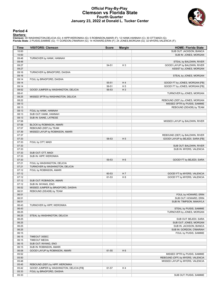## **Official Play-By-Play Clemson vs Florida State Fourth Quarter January 23, 2022 at Donald L. Tucker Center**



### **Period 4**

<mark>Startersː</mark><br>Clemson: 00 WASHINGTON,DELICIA (G); 4 HIPP,WERONIKA (G); 5 ROBINSON,AMARI (F); 12 HANK,HANNAH (C); 30 OTT,MADI (G);<br>Florida State: 2 PUISIS,SAMMIE (G); 11 GORDON,O'MARIAH (G); 14 HOWARD,ERIN (F); 24 JONES,MORGA

| Time           | <b>VISITORS: Clemson</b>                 | <b>Score</b>   | <b>Margin</b>           | <b>HOME: Florida State</b>                                 |
|----------------|------------------------------------------|----------------|-------------------------|------------------------------------------------------------|
| 10:00          |                                          |                |                         | SUB OUT: JACKSON, BIANCA                                   |
| 10:00          |                                          |                |                         | SUB IN: JONES, MORGAN                                      |
| 09:48          | TURNOVER by HANK, HANNAH                 |                |                         |                                                            |
| 09:48          |                                          |                |                         | STEAL by BALDWIN, RIVER                                    |
| 09:27          |                                          | 54-51          | $H_3$                   | GOOD! LAYUP by BALDWIN, RIVER                              |
| 09:27          |                                          |                |                         | ASSIST by JONES, MORGAN                                    |
| 09:16          | TURNOVER by BRADFORD, DAISHA             |                |                         |                                                            |
| 09:16          |                                          |                |                         | STEAL by JONES, MORGAN                                     |
| 09:14          | FOUL by BRADFORD, DAISHA                 |                |                         |                                                            |
| 09:14<br>09:14 |                                          | 55-51          | H4                      | GOOD! FT by JONES, MORGAN [FB]                             |
| 08:52          | GOOD! JUMPER by WASHINGTON, DELICIA      | 56-51<br>56-53 | H <sub>5</sub><br>$H_3$ | GOOD! FT by JONES, MORGAN [FB]                             |
| 08:41          |                                          |                |                         | TURNOVER by JONES, MORGAN                                  |
| 08:25          | MISSED 3PTR by WASHINGTON, DELICIA       |                |                         |                                                            |
| 08:22          |                                          |                |                         | REBOUND (DEF) by JONES, MORGAN                             |
| 08:13          |                                          |                |                         | MISSED 3PTR by PUISIS, SAMMIE                              |
| 08:13          |                                          |                |                         | REBOUND (DEADB) by TEAM                                    |
| 08:13          | FOUL by HANK, HANNAH                     |                |                         |                                                            |
| 08:13          | SUB OUT: HANK, HANNAH                    |                |                         |                                                            |
| 08:13          | SUB IN: SAINE, LATRESE                   |                |                         |                                                            |
| 07:58          |                                          |                |                         | MISSED LAYUP by BALDWIN, RIVER                             |
| 07:58          | BLOCK by ROBINSON, AMARI                 |                |                         |                                                            |
| 07:57          | REBOUND (DEF) by TEAM                    |                |                         |                                                            |
| 07:39          | MISSED LAYUP by ROBINSON, AMARI          |                |                         |                                                            |
| 07:37          |                                          |                |                         | REBOUND (DEF) by BALDWIN, RIVER                            |
| 07:33          |                                          | 58-53          | H <sub>5</sub>          | GOOD! LAYUP by BEJEDI, SARA [FB]                           |
| 07:33          | FOUL by OTT, MADI                        |                |                         |                                                            |
| 07:33          |                                          |                |                         | SUB OUT: BALDWIN, RIVER                                    |
| 07:33          |                                          |                |                         | SUB IN: MYERS, VALENCIA                                    |
| 07:33          | SUB OUT: OTT, MADI                       |                |                         |                                                            |
| 07:33          | SUB IN: HIPP, WERONIKA                   |                |                         |                                                            |
| 07:33          |                                          | 59-53          | H <sub>6</sub>          | GOOD! FT by BEJEDI, SARA                                   |
| 07:21          | FOUL by WASHINGTON, DELICIA              |                |                         |                                                            |
| 07:21          | TURNOVER by WASHINGTON, DELICIA          |                |                         |                                                            |
| 07:12          | FOUL by ROBINSON, AMARI                  |                | H 7                     |                                                            |
| 07:12<br>07:12 |                                          | 60-53<br>61-53 | H <sub>8</sub>          | GOOD! FT by MYERS, VALENCIA<br>GOOD! FT by MYERS, VALENCIA |
| 07:12          | SUB OUT: ROBINSON, AMARI                 |                |                         |                                                            |
| 07:12          | SUB IN: INYANG, ENO                      |                |                         |                                                            |
| 06:52          | MISSED JUMPER by BRADFORD, DAISHA        |                |                         |                                                            |
| 06:51          | REBOUND (DEADB) by TEAM                  |                |                         |                                                            |
| 06:51          |                                          |                |                         | FOUL by HOWARD, ERIN                                       |
| 06:51          |                                          |                |                         | SUB OUT: HOWARD, ERIN                                      |
| 06:51          |                                          |                |                         | SUB IN: TIMPSON, MAKAYLA                                   |
| 06:43          | TURNOVER by HIPP, WERONIKA               |                |                         |                                                            |
| 06:43          |                                          |                |                         | STEAL by PUISIS, SAMMIE                                    |
| 06:25          |                                          |                |                         | TURNOVER by JONES, MORGAN                                  |
| 06:25          | STEAL by WASHINGTON, DELICIA             |                |                         |                                                            |
| 06:25          |                                          |                |                         | SUB OUT: BEJEDI, SARA                                      |
| 06:25          |                                          |                |                         | SUB OUT: JONES, MORGAN                                     |
| 06:25          |                                          |                |                         | SUB IN: JACKSON, BIANCA                                    |
| 06:25          |                                          |                |                         | SUB IN: GORDON, O'MARIAH                                   |
| 06:15          |                                          |                |                         | FOUL by PUISIS, SAMMIE                                     |
| 06:15          | TIMEOUT 30SEC                            |                |                         |                                                            |
| 06:15          | <b>TIMEOUT MEDIA</b>                     |                |                         |                                                            |
| 06:15          | SUB OUT: INYANG, ENO                     |                |                         |                                                            |
| 06:15          | SUB IN: ROBINSON, AMARI                  |                |                         |                                                            |
| 06:08          | GOOD! LAYUP by ROBINSON, AMARI           | 61-55          | H <sub>6</sub>          |                                                            |
| 05:52          |                                          |                |                         | MISSED 3PTR by PUISIS, SAMMIE                              |
| 05:50          |                                          |                |                         | REBOUND (OFF) by MYERS, VALENCIA                           |
| 05:48          |                                          |                |                         | MISSED LAYUP by MYERS, VALENCIA                            |
| 05:45          | REBOUND (DEF) by HIPP, WERONIKA          |                |                         |                                                            |
| 05:42          | GOOD! JUMPER by WASHINGTON, DELICIA [FB] | 61-57          | H4                      |                                                            |
| 05:33          | FOUL by BRADFORD, DAISHA                 |                |                         |                                                            |
| 05:33          |                                          |                |                         | SUB OUT: PUISIS, SAMMIE                                    |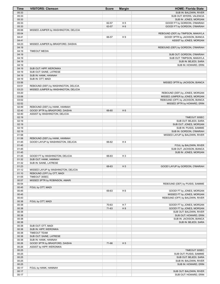| <b>Time</b>    | <b>VISITORS: Clemson</b>                                          | <b>Score</b> | <b>Margin</b>  | <b>HOME: Florida State</b>                         |
|----------------|-------------------------------------------------------------------|--------------|----------------|----------------------------------------------------|
| 05:33          |                                                                   |              |                | SUB IN: BALDWIN, RIVER                             |
| 05:33          |                                                                   |              |                | SUB OUT: MYERS, VALENCIA                           |
| 05:33          |                                                                   |              |                | SUB IN: JONES, MORGAN                              |
| 05:33          |                                                                   | 62-57        | H <sub>5</sub> | GOOD! FT by GORDON, O'MARIAH                       |
| 05:33          |                                                                   | 63-57        | H <sub>6</sub> | GOOD! FT by GORDON, O'MARIAH                       |
| 05:06<br>05:04 | MISSED JUMPER by WASHINGTON, DELICIA                              |              |                | REBOUND (DEF) by TIMPSON, MAKAYLA                  |
| 04:41          |                                                                   | 66-57        | H <sub>9</sub> | GOOD! 3PTR by JACKSON, BIANCA                      |
| 04:41          |                                                                   |              |                | ASSIST by JONES, MORGAN                            |
| 04:23          | MISSED JUMPER by BRADFORD, DAISHA                                 |              |                |                                                    |
| 04:19          |                                                                   |              |                | REBOUND (DEF) by GORDON, O'MARIAH                  |
| 04:19          | <b>TIMEOUT MEDIA</b>                                              |              |                |                                                    |
| 04:19          |                                                                   |              |                | SUB OUT: GORDON, O'MARIAH                          |
| 04:19          |                                                                   |              |                | SUB OUT: TIMPSON, MAKAYLA                          |
| 04:19          |                                                                   |              |                | SUB IN: BEJEDI, SARA                               |
| 04:19          |                                                                   |              |                | SUB IN: HOWARD, ERIN                               |
| 04:19          | SUB OUT: HIPP, WERONIKA                                           |              |                |                                                    |
| 04:19          | SUB OUT: SAINE, LATRESE                                           |              |                |                                                    |
| 04:19<br>04:19 | SUB IN: HANK, HANNAH<br>SUB IN: OTT, MADI                         |              |                |                                                    |
| 03:56          |                                                                   |              |                | MISSED 3PTR by JACKSON, BIANCA                     |
| 03:51          | REBOUND (DEF) by WASHINGTON, DELICIA                              |              |                |                                                    |
| 03:23          | MISSED JUMPER by WASHINGTON, DELICIA                              |              |                |                                                    |
| 03:20          |                                                                   |              |                | REBOUND (DEF) by JONES, MORGAN                     |
| 03:06          |                                                                   |              |                | MISSED JUMPER by JONES, MORGAN                     |
| 03:02          |                                                                   |              |                | REBOUND (OFF) by JACKSON, BIANCA                   |
| 02:52          |                                                                   |              |                | MISSED 3PTR by HOWARD, ERIN                        |
| 02:49          | REBOUND (DEF) by HANK, HANNAH                                     |              |                |                                                    |
| 02:40          | GOOD! 3PTR by BRADFORD, DAISHA                                    | 66-60        | H <sub>6</sub> |                                                    |
| 02:40          | ASSIST by WASHINGTON, DELICIA                                     |              |                |                                                    |
| 02:19          |                                                                   |              |                | TIMEOUT 30SEC                                      |
| 02:19          |                                                                   |              |                | SUB OUT: BEJEDI, SARA                              |
| 02:19          |                                                                   |              |                | SUB OUT: JONES, MORGAN                             |
| 02:19<br>02:19 |                                                                   |              |                | SUB IN: PUISIS, SAMMIE<br>SUB IN: GORDON, O'MARIAH |
| 01:58          |                                                                   |              |                | MISSED LAYUP by BALDWIN, RIVER                     |
| 01:58          | REBOUND (DEF) by HANK, HANNAH                                     |              |                |                                                    |
| 01:45          | GOOD! LAYUP by WASHINGTON, DELICIA                                | 66-62        | H4             |                                                    |
| 01:45          |                                                                   |              |                | FOUL by BALDWIN, RIVER                             |
| 01:45          |                                                                   |              |                | SUB OUT: JACKSON, BIANCA                           |
| 01:45          |                                                                   |              |                | SUB IN: JONES, MORGAN                              |
| 01:45          | GOOD! FT by WASHINGTON, DELICIA                                   | 66-63        | H <sub>3</sub> |                                                    |
| 01:32          | SUB OUT: HANK, HANNAH                                             |              |                |                                                    |
| 01:32          | SUB IN: SAINE, LATRESE                                            |              |                |                                                    |
| 01:23          |                                                                   | 68-63        | H <sub>5</sub> | GOOD! LAYUP by GORDON, O'MARIAH                    |
| 01:12<br>01:10 | MISSED LAYUP by WASHINGTON, DELICIA<br>REBOUND (OFF) by OTT, MADI |              |                |                                                    |
| 01:05          | TIMEOUT 30SEC                                                     |              |                |                                                    |
| 00:57          | MISSED 3PTR by ROBINSON, AMARI                                    |              |                |                                                    |
| 00:54          |                                                                   |              |                | REBOUND (DEF) by PUISIS, SAMMIE                    |
| 00:45          | FOUL by OTT, MADI                                                 |              |                |                                                    |
| 00:45          |                                                                   | 69-63        | H <sub>6</sub> | GOOD! FT by JONES, MORGAN                          |
| 00:45          |                                                                   |              |                | MISSED FT by JONES, MORGAN                         |
| 00:43          |                                                                   |              |                | REBOUND (OFF) by BALDWIN, RIVER                    |
| 00:38          | FOUL by OTT, MADI                                                 |              |                |                                                    |
| 00:38          |                                                                   | 70-63        | H 7            | GOOD! FT by JONES, MORGAN                          |
| 00:38          |                                                                   | 71-63        | H 8            | GOOD! FT by JONES, MORGAN                          |
| 00:38          |                                                                   |              |                | SUB OUT: BALDWIN, RIVER                            |
| 00:38          |                                                                   |              |                | SUB OUT: HOWARD, ERIN                              |
| 00:38          |                                                                   |              |                | SUB IN: JACKSON, BIANCA                            |
| 00:38<br>00:38 | SUB OUT: OTT, MADI                                                |              |                | SUB IN: BEJEDI, SARA                               |
| 00:38          | SUB IN: HIPP, WERONIKA                                            |              |                |                                                    |
| 00:38          | <b>TIMEOUT TEAM</b>                                               |              |                |                                                    |
| 00:38          | SUB OUT: SAINE, LATRESE                                           |              |                |                                                    |
| 00:38          | SUB IN: HANK, HANNAH                                              |              |                |                                                    |
| 00:26          | GOOD! 3PTR by BRADFORD, DAISHA                                    | 71-66        | H <sub>5</sub> |                                                    |
| 00:26          | ASSIST by HIPP, WERONIKA                                          |              |                |                                                    |
| 00:25          |                                                                   |              |                | TIMEOUT 30SEC                                      |
| 00:25          |                                                                   |              |                | SUB OUT: PUISIS, SAMMIE                            |
| 00:25          |                                                                   |              |                | SUB OUT: BEJEDI, SARA                              |
| 00:25          |                                                                   |              |                | SUB IN: BALDWIN, RIVER                             |
| 00:25          |                                                                   |              |                | SUB IN: HOWARD, ERIN                               |
| 00:17<br>00:17 | FOUL by HANK, HANNAH                                              |              |                | SUB OUT: BALDWIN, RIVER                            |
| 00:17          |                                                                   |              |                | SUB OUT: HOWARD, ERIN                              |
|                |                                                                   |              |                |                                                    |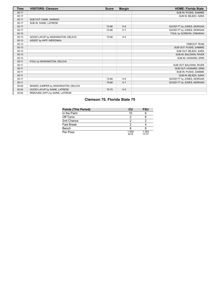| Time  | <b>VISITORS: Clemson</b>             | <b>Score</b> | <b>Margin</b>  | <b>HOME: Florida State</b> |
|-------|--------------------------------------|--------------|----------------|----------------------------|
| 00:17 |                                      |              |                | SUB IN: PUISIS, SAMMIE     |
| 00:17 |                                      |              |                | SUB IN: BEJEDI, SARA       |
| 00:17 | SUB OUT: HANK, HANNAH                |              |                |                            |
| 00:17 | SUB IN: SAINE, LATRESE               |              |                |                            |
| 00:17 |                                      | 72-66        | H <sub>6</sub> | GOOD! FT by JONES, MORGAN  |
| 00:17 |                                      | 73-66        | H <sub>7</sub> | GOOD! FT by JONES, MORGAN  |
| 00:15 |                                      |              |                | FOUL by GORDON, O'MARIAH   |
| 00:13 | GOOD! LAYUP by WASHINGTON, DELICIA   | 73-68        | H <sub>5</sub> |                            |
| 00:13 | ASSIST by HIPP, WERONIKA             |              |                |                            |
| 00:13 |                                      |              |                | <b>TIMEOUT TEAM</b>        |
| 00:13 |                                      |              |                | SUB OUT: PUISIS, SAMMIE    |
| 00:13 |                                      |              |                | SUB OUT: BEJEDI, SARA      |
| 00:13 |                                      |              |                | SUB IN: BALDWIN, RIVER     |
| 00:13 |                                      |              |                | SUB IN: HOWARD, ERIN       |
| 00:11 | FOUL by WASHINGTON, DELICIA          |              |                |                            |
| 00:11 |                                      |              |                | SUB OUT: BALDWIN, RIVER    |
| 00:11 |                                      |              |                | SUB OUT: HOWARD, ERIN      |
| 00:11 |                                      |              |                | SUB IN: PUISIS, SAMMIE     |
| 00:11 |                                      |              |                | SUB IN: BEJEDI, SARA       |
| 00:11 |                                      | 74-68        | H <sub>6</sub> | GOOD! FT by JONES, MORGAN  |
| 00:11 |                                      | 75-68        | H <sub>7</sub> | GOOD! FT by JONES, MORGAN  |
| 00:05 | MISSED JUMPER by WASHINGTON, DELICIA |              |                |                            |
| 00:04 | GOOD! LAYUP by SAINE, LATRESE        | 75-70        | H <sub>5</sub> |                            |
| 00:02 | REBOUND (OFF) by SAINE, LATRESE      |              |                |                            |

# **Clemson 70, Florida State 75**

| <b>Points (This Period)</b> | CU            | <b>FSU</b>     |
|-----------------------------|---------------|----------------|
| In the Paint                | 10            |                |
| Off Turns                   |               |                |
| 2nd Chance                  |               |                |
| <b>Fast Break</b>           |               |                |
| Bench                       |               |                |
| Per Poss                    | 1.000<br>9/19 | 1.353<br>11/17 |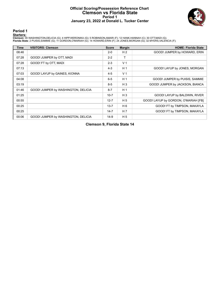### **Official Scoring/Possession Reference Chart Clemson vs Florida State Period 1 January 23, 2022 at Donald L. Tucker Center**



# **Period 1**

<mark>Startersː</mark><br>Clemson: 00 WASHINGTON,DELICIA (G); 4 HIPP,WERONIKA (G); 5 ROBINSON,AMARI (F); 12 HANK,HANNAH (C); 30 OTT,MADI (G);<br>Florida State: 2 PUISIS,SAMMIE (G); 11 GORDON,O'MARIAH (G); 14 HOWARD,ERIN (F); 24 JONES,MORGA

| <b>Time</b> | <b>VISITORS: Clemson</b>            | <b>Score</b> | <b>Margin</b>  | <b>HOME: Florida State</b>           |
|-------------|-------------------------------------|--------------|----------------|--------------------------------------|
| 08:46       |                                     | $2 - 0$      | H <sub>2</sub> | GOOD! JUMPER by HOWARD, ERIN         |
| 07:28       | GOOD! JUMPER by OTT, MADI           | $2 - 2$      | т              |                                      |
| 07:28       | GOOD! FT by OTT, MADI               | $2 - 3$      | V <sub>1</sub> |                                      |
| 07:13       |                                     | $4 - 3$      | H <sub>1</sub> | GOOD! LAYUP by JONES, MORGAN         |
| 07:03       | GOOD! LAYUP by GAINES, KIONNA       | $4 - 5$      | V <sub>1</sub> |                                      |
| 04:08       |                                     | $6 - 5$      | H <sub>1</sub> | GOOD! JUMPER by PUISIS, SAMMIE       |
| 03:19       |                                     | $8 - 5$      | $H_3$          | GOOD! JUMPER by JACKSON, BIANCA      |
| 01:46       | GOOD! JUMPER by WASHINGTON, DELICIA | $8 - 7$      | H <sub>1</sub> |                                      |
| 01:25       |                                     | $10 - 7$     | $H_3$          | GOOD! LAYUP by BALDWIN, RIVER        |
| 00:55       |                                     | $12 - 7$     | H <sub>5</sub> | GOOD! LAYUP by GORDON, O'MARIAH [FB] |
| 00:25       |                                     | $13 - 7$     | H 6            | GOOD! FT by TIMPSON, MAKAYLA         |
| 00:25       |                                     | $14 - 7$     | H <sub>7</sub> | GOOD! FT by TIMPSON, MAKAYLA         |
| 00:06       | GOOD! JUMPER by WASHINGTON, DELICIA | $14-9$       | H <sub>5</sub> |                                      |

**Clemson 9, Florida State 14**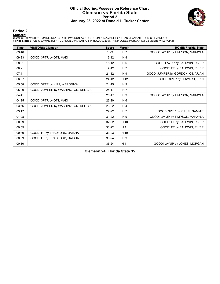### **Official Scoring/Possession Reference Chart Clemson vs Florida State Period 2 January 23, 2022 at Donald L. Tucker Center**



# **Period 2**

<mark>Startersː</mark><br>Clemson: 00 WASHINGTON,DELICIA (G); 4 HIPP,WERONIKA (G); 5 ROBINSON,AMARI (F); 12 HANK,HANNAH (C); 30 OTT,MADI (G);<br>Florida State: 2 PUISIS,SAMMIE (G); 11 GORDON,O'MARIAH (G); 14 HOWARD,ERIN (F); 24 JONES,MORGA

| <b>Time</b> | <b>VISITORS: Clemson</b>            | <b>Score</b> | <b>Margin</b>  | <b>HOME: Florida State</b>       |
|-------------|-------------------------------------|--------------|----------------|----------------------------------|
| 09:46       |                                     | $16-9$       | H <sub>7</sub> | GOOD! LAYUP by TIMPSON, MAKAYLA  |
| 09:23       | GOOD! 3PTR by OTT, MADI             | $16 - 12$    | H4             |                                  |
| 08:21       |                                     | $18-12$      | H <sub>6</sub> | GOOD! LAYUP by BALDWIN, RIVER    |
| 08:21       |                                     | 19-12        | H <sub>7</sub> | GOOD! FT by BALDWIN, RIVER       |
| 07:41       |                                     | $21 - 12$    | H <sub>9</sub> | GOOD! JUMPER by GORDON, O'MARIAH |
| 06:57       |                                     | $24 - 12$    | H 12           | GOOD! 3PTR by HOWARD, ERIN       |
| 05:58       | GOOD! 3PTR by HIPP, WERONIKA        | $24 - 15$    | H 9            |                                  |
| 05:09       | GOOD! JUMPER by WASHINGTON, DELICIA | $24 - 17$    | H <sub>7</sub> |                                  |
| 04:41       |                                     | $26-17$      | H <sub>9</sub> | GOOD! LAYUP by TIMPSON, MAKAYLA  |
| 04:25       | GOOD! 3PTR by OTT, MADI             | 26-20        | H <sub>6</sub> |                                  |
| 03:56       | GOOD! JUMPER by WASHINGTON, DELICIA | $26-22$      | H <sub>4</sub> |                                  |
| 03:17       |                                     | 29-22        | H <sub>7</sub> | GOOD! 3PTR by PUISIS, SAMMIE     |
| 01:28       |                                     | $31 - 22$    | H <sub>9</sub> | GOOD! LAYUP by TIMPSON, MAKAYLA  |
| 00:59       |                                     | 32-22        | H 10           | GOOD! FT by BALDWIN, RIVER       |
| 00:59       |                                     | 33-22        | H 11           | GOOD! FT by BALDWIN, RIVER       |
| 00:39       | GOOD! FT by BRADFORD, DAISHA        | $33 - 23$    | H 10           |                                  |
| 00:39       | GOOD! FT by BRADFORD, DAISHA        | 33-24        | H <sub>9</sub> |                                  |
| 00:30       |                                     | $35 - 24$    | H 11           | GOOD! LAYUP by JONES, MORGAN     |

**Clemson 24, Florida State 35**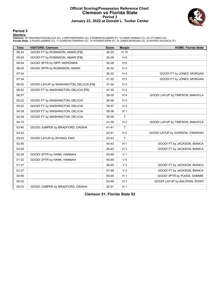### **Official Scoring/Possession Reference Chart Clemson vs Florida State Period 3 January 23, 2022 at Donald L. Tucker Center**



# **Period 3**

<mark>Startersː</mark><br>Clemson: 00 WASHINGTON,DELICIA (G); 4 HIPP,WERONIKA (G); 5 ROBINSON,AMARI (F); 12 HANK,HANNAH (C); 30 OTT,MADI (G);<br>Florida State: 2 PUISIS,SAMMIE (G); 11 GORDON,O'MARIAH (G); 14 HOWARD,ERIN (F); 24 JONES,MORGA

| <b>Time</b> | <b>VISITORS: Clemson</b>                | <b>Score</b> | <b>Margin</b>  | <b>HOME: Florida State</b>      |
|-------------|-----------------------------------------|--------------|----------------|---------------------------------|
| 09:24       | GOOD! FT by ROBINSON, AMARI [FB]        | 35-25        | H 10           |                                 |
| 09:24       | GOOD! FT by ROBINSON, AMARI [FB]        | 35-26        | H <sub>9</sub> |                                 |
| 08:54       | GOOD! 3PTR by HIPP, WERONIKA            | 35-29        | H <sub>6</sub> |                                 |
| 08:20       | GOOD! 3PTR by ROBINSON, AMARI           | 35-32        | $H_3$          |                                 |
| 07:34       |                                         | 36-32        | H <sub>4</sub> | GOOD! FT by JONES, MORGAN       |
| 07:34       |                                         | 37-32        | H <sub>5</sub> | GOOD! FT by JONES, MORGAN       |
| 06:52       | GOOD! LAYUP by WASHINGTON, DELICIA [FB] | 37-34        | $H_3$          |                                 |
| 06:52       | GOOD! FT by WASHINGTON, DELICIA [FB]    | 37-35        | H <sub>2</sub> |                                 |
| 06:27       |                                         | 39-35        | H <sub>4</sub> | GOOD! LAYUP by TIMPSON, MAKAYLA |
| 05:22       | GOOD! FT by WASHINGTON, DELICIA         | 39-36        | $H_3$          |                                 |
| 05:22       | GOOD! FT by WASHINGTON, DELICIA         | 39-37        | H <sub>2</sub> |                                 |
| 04:38       | GOOD! FT by WASHINGTON, DELICIA         | 39-38        | H <sub>1</sub> |                                 |
| 04:38       | GOOD! FT by WASHINGTON, DELICIA         | 39-39        | $\mathsf{T}$   |                                 |
| 04:15       |                                         | 41-39        | H <sub>2</sub> | GOOD! LAYUP by TIMPSON, MAKAYLA |
| 03:40       | GOOD! JUMPER by BRADFORD, DAISHA        | $41 - 41$    | T              |                                 |
| 03:22       |                                         | 43-41        | H <sub>2</sub> | GOOD! LAYUP by GORDON, O'MARIAH |
| 03:03       | GOOD! LAYUP by INYANG, ENO              | 43-43        | T              |                                 |
| 02:45       |                                         | 44-43        | H <sub>1</sub> | GOOD! FT by JACKSON, BIANCA     |
| 02:45       |                                         | 45-43        | H <sub>2</sub> | GOOD! FT by JACKSON, BIANCA     |
| 02:29       | GOOD! 3PTR by HANK, HANNAH              | 45-46        | V <sub>1</sub> |                                 |
| 01:52       | GOOD! 3PTR by HANK, HANNAH              | 45-49        | V <sub>4</sub> |                                 |
| 01:27       |                                         | 46-49        | $V_3$          | GOOD! FT by JACKSON, BIANCA     |
| 01:27       |                                         | 47-49        | V <sub>2</sub> | GOOD! FT by JACKSON, BIANCA     |
| 00:56       |                                         | 50-49        | H <sub>1</sub> | GOOD! 3PTR by PUISIS, SAMMIE    |
| 00:22       |                                         | 52-49        | $H_3$          | GOOD! LAYUP by BALDWIN, RIVER   |
| 00:03       | GOOD! JUMPER by BRADFORD, DAISHA        | 52-51        | H <sub>1</sub> |                                 |

**Clemson 51, Florida State 52**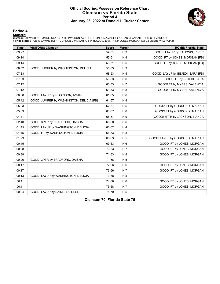### **Official Scoring/Possession Reference Chart Clemson vs Florida State Period 4 January 23, 2022 at Donald L. Tucker Center**



### **Period 4**

<mark>Startersː</mark><br>Clemson: 00 WASHINGTON,DELICIA (G); 4 HIPP,WERONIKA (G); 5 ROBINSON,AMARI (F); 12 HANK,HANNAH (C); 30 OTT,MADI (G);<br>Florida State: 2 PUISIS,SAMMIE (G); 11 GORDON,O'MARIAH (G); 14 HOWARD,ERIN (F); 24 JONES,MORGA

| <b>Time</b> | <b>VISITORS: Clemson</b>                 | <b>Score</b> | <b>Margin</b>  | <b>HOME: Florida State</b>       |
|-------------|------------------------------------------|--------------|----------------|----------------------------------|
| 09:27       |                                          | 54-51        | $H_3$          | GOOD! LAYUP by BALDWIN, RIVER    |
| 09:14       |                                          | 55-51        | H4             | GOOD! FT by JONES, MORGAN [FB]   |
| 09:14       |                                          | 56-51        | H <sub>5</sub> | GOOD! FT by JONES, MORGAN [FB]   |
| 08:52       | GOOD! JUMPER by WASHINGTON, DELICIA      | 56-53        | $H_3$          |                                  |
| 07:33       |                                          | 58-53        | H <sub>5</sub> | GOOD! LAYUP by BEJEDI, SARA [FB] |
| 07:33       |                                          | 59-53        | H <sub>6</sub> | GOOD! FT by BEJEDI, SARA         |
| 07:12       |                                          | 60-53        | H <sub>7</sub> | GOOD! FT by MYERS, VALENCIA      |
| 07:12       |                                          | 61-53        | H <sub>8</sub> | GOOD! FT by MYERS, VALENCIA      |
| 06:08       | GOOD! LAYUP by ROBINSON, AMARI           | 61-55        | H <sub>6</sub> |                                  |
| 05:42       | GOOD! JUMPER by WASHINGTON, DELICIA [FB] | 61-57        | H <sub>4</sub> |                                  |
| 05:33       |                                          | 62-57        | H <sub>5</sub> | GOOD! FT by GORDON, O'MARIAH     |
| 05:33       |                                          | 63-57        | H <sub>6</sub> | GOOD! FT by GORDON, O'MARIAH     |
| 04:41       |                                          | 66-57        | H <sub>9</sub> | GOOD! 3PTR by JACKSON, BIANCA    |
| 02:40       | GOOD! 3PTR by BRADFORD, DAISHA           | 66-60        | H <sub>6</sub> |                                  |
| 01:45       | GOOD! LAYUP by WASHINGTON, DELICIA       | 66-62        | H <sub>4</sub> |                                  |
| 01:45       | GOOD! FT by WASHINGTON, DELICIA          | 66-63        | $H_3$          |                                  |
| 01:23       |                                          | 68-63        | H <sub>5</sub> | GOOD! LAYUP by GORDON, O'MARIAH  |
| 00:45       |                                          | 69-63        | H <sub>6</sub> | GOOD! FT by JONES, MORGAN        |
| 00:38       |                                          | 70-63        | H <sub>7</sub> | GOOD! FT by JONES, MORGAN        |
| 00:38       |                                          | 71-63        | H8             | GOOD! FT by JONES, MORGAN        |
| 00:26       | GOOD! 3PTR by BRADFORD, DAISHA           | 71-66        | H <sub>5</sub> |                                  |
| 00:17       |                                          | 72-66        | H <sub>6</sub> | GOOD! FT by JONES, MORGAN        |
| 00:17       |                                          | 73-66        | H <sub>7</sub> | GOOD! FT by JONES, MORGAN        |
| 00:13       | GOOD! LAYUP by WASHINGTON, DELICIA       | 73-68        | H <sub>5</sub> |                                  |
| 00:11       |                                          | 74-68        | H <sub>6</sub> | GOOD! FT by JONES, MORGAN        |
| 00:11       |                                          | 75-68        | H <sub>7</sub> | GOOD! FT by JONES, MORGAN        |
| 00:04       | GOOD! LAYUP by SAINE, LATRESE            | 75-70        | H <sub>5</sub> |                                  |

**Clemson 70, Florida State 75**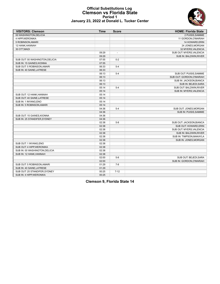### **Official Substitutions Log Clemson vs Florida State Period 1 January 23, 2022 at Donald L. Tucker Center**

| <b>VISITORS: Clemson</b>        | <b>Time</b> | <b>Score</b>             | <b>HOME: Florida State</b> |
|---------------------------------|-------------|--------------------------|----------------------------|
| 00 WASHINGTON, DELICIA          |             |                          | 2 PUISIS, SAMMIE           |
| 4 HIPP, WERONIKA                |             |                          | 11 GORDON, O'MARIAH        |
| 5 ROBINSON, AMARI               |             |                          | 14 HOWARD, ERIN            |
| 12 HANK, HANNAH                 |             |                          | 24 JONES, MORGAN           |
| 30 OTT, MADI                    |             |                          | 32 MYERS, VALENCIA         |
|                                 | 09:29       | $\overline{\phantom{a}}$ | SUB OUT: MYERS, VALENCIA   |
|                                 | 09:29       |                          | SUB IN: BALDWIN, RIVER     |
| SUB OUT: 00 WASHINGTON, DELICIA | 07:55       | $0 - 2$                  |                            |
| SUB IN: 15 GAINES, KIONNA       | 07:55       |                          |                            |
| SUB OUT: 5 ROBINSON, AMARI      | 06:33       | $5 - 4$                  |                            |
| SUB IN: 40 SAINE, LATRESE       | 06:33       |                          |                            |
|                                 | 06:13       | $5 - 4$                  | SUB OUT: PUISIS, SAMMIE    |
|                                 | 06:13       |                          | SUB OUT: GORDON, O'MARIAH  |
|                                 | 06:13       |                          | SUB IN: JACKSON, BIANCA    |
|                                 | 06:13       |                          | SUB IN: BEJEDI, SARA       |
|                                 | 05:14       | $5 - 4$                  | SUB OUT: BALDWIN, RIVER    |
|                                 | 05:14       |                          | SUB IN: MYERS, VALENCIA    |
| SUB OUT: 12 HANK, HANNAH        | 05:14       |                          |                            |
| SUB OUT: 40 SAINE, LATRESE      | 05:14       |                          |                            |
| SUB IN: 1 INYANG, ENO           | 05:14       |                          |                            |
| SUB IN: 5 ROBINSON, AMARI       | 05:14       |                          |                            |
|                                 | 04:36       | $5 - 4$                  | SUB OUT: JONES, MORGAN     |
|                                 | 04:36       |                          | SUB IN: PUISIS, SAMMIE     |
| SUB OUT: 15 GAINES, KIONNA      | 04:36       |                          |                            |
| SUB IN: 25 STANDIFER SYDNEY     | 04:36       |                          |                            |
|                                 | 02:38       | $5 - 8$                  | SUB OUT: JACKSON, BIANCA   |
|                                 | 02:38       |                          | SUB OUT: HOWARD, ERIN      |
|                                 | 02:38       |                          | SUB OUT: MYERS, VALENCIA   |
|                                 | 02:38       |                          | SUB IN: BALDWIN, RIVER     |
|                                 | 02:38       |                          | SUB IN: TIMPSON, MAKAYLA   |
|                                 | 02:38       |                          | SUB IN: JONES, MORGAN      |
| SUB OUT: 1 INYANG, ENO          | 02:38       |                          |                            |
| SUB OUT: 4 HIPP, WERONIKA       | 02:38       |                          |                            |
| SUB IN: 00 WASHINGTON, DELICIA  | 02:38       |                          |                            |
| SUB IN: 12 HANK, HANNAH         | 02:38       |                          |                            |
|                                 | 02:00       | $5 - 8$                  | SUB OUT: BEJEDI, SARA      |
|                                 | 02:00       |                          | SUB IN: GORDON, O'MARIAH   |
| SUB OUT: 5 ROBINSON, AMARI      | 01:29       | $7-8$                    |                            |
| SUB IN: 40 SAINE, LATRESE       | 01:29       |                          |                            |
| SUB OUT: 25 STANDIFER, SYDNEY   | 00:25       | $7 - 12$                 |                            |
| SUB IN: 4 HIPP.WERONIKA         | 00:25       |                          |                            |

**Clemson 9, Florida State 14**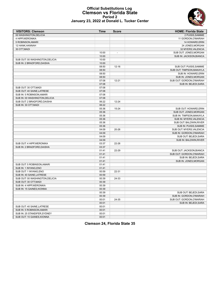### **Official Substitutions Log Clemson vs Florida State Period 2 January 23, 2022 at Donald L. Tucker Center**

| <b>VISITORS: Clemson</b>        | Time  | <b>Score</b>             | <b>HOME: Florida State</b> |
|---------------------------------|-------|--------------------------|----------------------------|
| 00 WASHINGTON.DELICIA           |       |                          | 2 PUISIS, SAMMIE           |
| 4 HIPP, WERONIKA                |       |                          | 11 GORDON, O'MARIAH        |
| 5 ROBINSON, AMARI               |       |                          | 14 HOWARD, ERIN            |
| 12 HANK, HANNAH                 |       |                          | 24 JONES, MORGAN           |
| 30 OTT, MADI                    |       |                          | 32 MYERS, VALENCIA         |
|                                 | 10:00 | $\overline{\phantom{a}}$ | SUB OUT: JONES, MORGAN     |
|                                 | 10:00 |                          | SUB IN: JACKSON, BIANCA    |
| SUB OUT: 00 WASHINGTON, DELICIA | 10:00 |                          |                            |
| SUB IN: 2 BRADFORD, DAISHA      | 10:00 |                          |                            |
|                                 | 08:50 | 12-16                    | SUB OUT: PUISIS, SAMMIE    |
|                                 | 08:50 |                          | SUB OUT: TIMPSON, MAKAYLA  |
|                                 | 08:50 |                          | SUB IN: HOWARD, ERIN       |
|                                 | 08:50 |                          | SUB IN: JONES, MORGAN      |
|                                 | 07:08 | $12 - 21$                | SUB OUT: GORDON, O'MARIAH  |
|                                 | 07:08 |                          | SUB IN: BEJEDI, SARA       |
| SUB OUT: 30 OTT, MADI           | 07:08 |                          |                            |
| SUB OUT: 40 SAINE, LATRESE      | 07:08 |                          |                            |
| SUB IN: 5 ROBINSON, AMARI       | 07:08 |                          |                            |
| SUB IN: 00 WASHINGTON, DELICIA  | 07:08 |                          |                            |
| SUB OUT: 2 BRADFORD, DAISHA     | 06:22 | 12-24                    |                            |
| SUB IN: 30 OTT, MADI            | 06:22 |                          |                            |
|                                 | 05:36 | 15-24                    | SUB OUT: HOWARD, ERIN      |
|                                 | 05:36 |                          | SUB OUT: JONES, MORGAN     |
|                                 | 05:36 |                          | SUB IN: TIMPSON, MAKAYLA   |
|                                 | 05:36 |                          | SUB IN: MYERS, VALENCIA    |
|                                 | 05:36 |                          | SUB OUT: BALDWIN, RIVER    |
|                                 | 05:36 |                          | SUB IN: PUISIS, SAMMIE     |
|                                 | 04:09 | 20-26                    | SUB OUT: MYERS, VALENCIA   |
|                                 | 04:09 |                          | SUB IN: GORDON, O'MARIAH   |
|                                 | 04:09 |                          | SUB OUT: BEJEDI, SARA      |
|                                 | 04:09 |                          | SUB IN: BALDWIN, RIVER     |
| SUB OUT: 4 HIPP, WERONIKA       | 03:37 | 22-26                    |                            |
| SUB IN: 2 BRADFORD, DAISHA      | 03:37 |                          |                            |
|                                 | 01:41 | 22-29                    | SUB OUT: JACKSON, BIANCA   |
|                                 | 01:41 |                          | SUB OUT: GORDON, O'MARIAH  |
|                                 | 01:41 |                          | SUB IN: BEJEDI, SARA       |
|                                 | 01:41 |                          | SUB IN: JONES, MORGAN      |
| SUB OUT: 5 ROBINSON, AMARI      | 01:41 |                          |                            |
| SUB IN: 1 INYANG, ENO           | 01:41 |                          |                            |
| SUB OUT: 1 INYANG, ENO          | 00:59 | 22-31                    |                            |
| SUB IN: 40 SAINE, LATRESE       | 00:59 |                          |                            |
| SUB OUT: 00 WASHINGTON, DELICIA | 00:39 | 24-33                    |                            |
| SUB OUT: 30 OTT, MADI           | 00:39 |                          |                            |
| SUB IN: 4 HIPP, WERONIKA        | 00:39 |                          |                            |
| SUB IN: 15 GAINES, KIONNA       | 00:39 |                          |                            |
|                                 | 00:39 |                          | SUB OUT: BEJEDI, SARA      |
|                                 | 00:39 |                          | SUB IN: GORDON, O'MARIAH   |
|                                 | 00:01 | 24-35                    | SUB OUT: GORDON, O'MARIAH  |
|                                 | 00:01 |                          | SUB IN: BEJEDI, SARA       |
| SUB OUT: 40 SAINE, LATRESE      | 00:01 |                          |                            |
| SUB IN: 5 ROBINSON, AMARI       | 00:01 |                          |                            |
| SUB IN: 25 STANDIFER, SYDNEY    | 00:01 |                          |                            |
| SUB OUT: 15 GAINES, KIONNA      | 00:01 |                          |                            |

**Clemson 24, Florida State 35**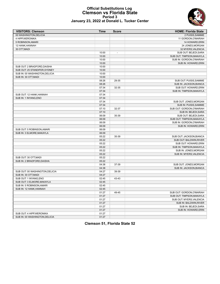

### **Official Substitutions Log Clemson vs Florida State Period 3 January 23, 2022 at Donald L. Tucker Center**

| <b>VISITORS: Clemson</b>        | <b>Time</b> | <b>Score</b>             | <b>HOME: Florida State</b> |
|---------------------------------|-------------|--------------------------|----------------------------|
| 00 WASHINGTON, DELICIA          |             |                          | 2 PUISIS, SAMMIE           |
| 4 HIPP, WERONIKA                |             |                          | 11 GORDON, O'MARIAH        |
| 5 ROBINSON, AMARI               |             |                          | 14 HOWARD, ERIN            |
| 12 HANK, HANNAH                 |             |                          | 24 JONES, MORGAN           |
| 30 OTT, MADI                    |             |                          | 32 MYERS, VALENCIA         |
|                                 | 10:00       | $\overline{\phantom{a}}$ | SUB OUT: BEJEDI, SARA      |
|                                 | 10:00       |                          | SUB OUT: TIMPSON, MAKAYLA  |
|                                 | 10:00       |                          | SUB IN: GORDON, O'MARIAH   |
|                                 | 10:00       |                          | SUB IN: HOWARD, ERIN       |
| SUB OUT: 2 BRADFORD, DAISHA     | 10:00       |                          |                            |
| SUB OUT: 25 STANDIFER, SYDNEY   | 10:00       |                          |                            |
| SUB IN: 00 WASHINGTON, DELICIA  | 10:00       |                          |                            |
| SUB IN: 30 OTT.MADI             | 10:00       |                          |                            |
|                                 | 08:26       | 29-35                    | SUB OUT: PUISIS, SAMMIE    |
|                                 | 08:26       |                          | SUB IN: JACKSON, BIANCA    |
|                                 | 07:34       | 32-35                    | SUB OUT: HOWARD, ERIN      |
|                                 | 07:34       |                          | SUB IN: TIMPSON, MAKAYLA   |
| SUB OUT: 12 HANK, HANNAH        | 07:34       |                          |                            |
| SUB IN: 1 INYANG, ENO           | 07:34       |                          |                            |
|                                 | 07:34       |                          | SUB OUT: JONES, MORGAN     |
|                                 | 07:34       |                          | SUB IN: PUISIS, SAMMIE     |
|                                 | 07:10       | 32-37                    | SUB OUT: GORDON, O'MARIAH  |
|                                 | 07:10       |                          | SUB IN: BEJEDI, SARA       |
|                                 | 06:09       | 35-39                    | SUB OUT: BEJEDI, SARA      |
|                                 | 06:09       |                          | SUB OUT: TIMPSON, MAKAYLA  |
|                                 | 06:09       |                          | SUB IN: GORDON, O'MARIAH   |
|                                 | 06:09       |                          | SUB IN: HOWARD, ERIN       |
| SUB OUT: 5 ROBINSON, AMARI      | 06:09       |                          |                            |
| SUB IN: 3 ELMORE, MAKAYLA       | 06:09       |                          |                            |
|                                 | 05:22       | 35-39                    | SUB OUT: JACKSON, BIANCA   |
|                                 | 05:22       |                          | SUB OUT: BALDWIN, RIVER    |
|                                 | 05:22       |                          | SUB OUT: HOWARD, ERIN      |
|                                 | 05:22       |                          | SUB IN: TIMPSON, MAKAYLA   |
|                                 | 05:22       |                          | SUB IN: JONES, MORGAN      |
|                                 | 05:22       |                          | SUB IN: MYERS, VALENCIA    |
| SUB OUT: 30 OTT, MADI           | 05:22       |                          |                            |
| SUB IN: 2 BRADFORD, DAISHA      | 05:22       |                          |                            |
|                                 | 04:38       | 37-39                    | SUB OUT: JONES, MORGAN     |
|                                 | 04:38       |                          | SUB IN: JACKSON, BIANCA    |
| SUB OUT: 00 WASHINGTON, DELICIA | 04:27       | 39-39                    |                            |
| SUB IN: 30 OTT, MADI            | 04:27       |                          |                            |
| SUB OUT: 1 INYANG, ENO          | 02:45       | 43-43                    |                            |
| SUB OUT: 3 ELMORE, MAKAYLA      | 02:45       |                          |                            |
| SUB IN: 5 ROBINSON, AMARI       | 02:45       |                          |                            |
| SUB IN: 12 HANK, HANNAH         | 02:45       |                          |                            |
|                                 | 01:27       | 49-45                    | SUB OUT: GORDON, O'MARIAH  |
|                                 | 01:27       |                          | SUB OUT: TIMPSON, MAKAYLA  |
|                                 | 01:27       |                          | SUB OUT: MYERS, VALENCIA   |
|                                 | 01:27       |                          | SUB IN: BALDWIN, RIVER     |
|                                 | 01:27       |                          | SUB IN: BEJEDI, SARA       |
|                                 | 01:27       |                          | SUB IN: HOWARD, ERIN       |
| SUB OUT: 4 HIPP, WERONIKA       | 01:27       |                          |                            |
| SUB IN: 00 WASHINGTON, DELICIA  | 01:27       |                          |                            |

# **Clemson 51, Florida State 52**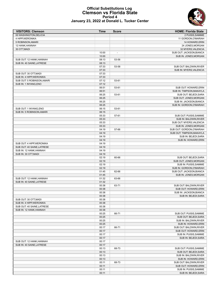## **Official Substitutions Log Clemson vs Florida State Period 4 January 23, 2022 at Donald L. Tucker Center**

| <b>VISITORS: Clemson</b>                          | Time           | <b>Score</b> | <b>HOME: Florida State</b>                           |
|---------------------------------------------------|----------------|--------------|------------------------------------------------------|
| 00 WASHINGTON.DELICIA                             |                |              | 2 PUISIS, SAMMIE                                     |
| 4 HIPP, WERONIKA                                  |                |              | 11 GORDON, O'MARIAH                                  |
| 5 ROBINSON, AMARI                                 |                |              | 14 HOWARD, ERIN                                      |
| 12 HANK, HANNAH                                   |                |              | 24 JONES, MORGAN                                     |
| 30 OTT, MADI                                      |                |              | 32 MYERS, VALENCIA                                   |
|                                                   | 10:00          |              | SUB OUT: JACKSON, BIANCA                             |
|                                                   | 10:00          |              | SUB IN: JONES, MORGAN                                |
| SUB OUT: 12 HANK, HANNAH                          | 08:13          | 53-56        |                                                      |
| SUB IN: 40 SAINE, LATRESE                         | 08:13          |              |                                                      |
|                                                   | 07:33          | 53-58        | SUB OUT: BALDWIN, RIVER                              |
|                                                   | 07:33          |              | SUB IN: MYERS, VALENCIA                              |
| SUB OUT: 30 OTT, MADI<br>SUB IN: 4 HIPP, WERONIKA | 07:33<br>07:33 |              |                                                      |
| SUB OUT: 5 ROBINSON, AMARI                        | 07:12          | 53-61        |                                                      |
| SUB IN: 1 INYANG, ENO                             | 07:12          |              |                                                      |
|                                                   | 06:51          | 53-61        | SUB OUT: HOWARD, ERIN                                |
|                                                   | 06:51          |              | SUB IN: TIMPSON, MAKAYLA                             |
|                                                   | 06:25          | 53-61        | SUB OUT: BEJEDI, SARA                                |
|                                                   | 06:25          |              | SUB OUT: JONES, MORGAN                               |
|                                                   | 06:25          |              | SUB IN: JACKSON, BIANCA                              |
|                                                   | 06:25          |              | SUB IN: GORDON, O'MARIAH                             |
| SUB OUT: 1 INYANG, ENO                            | 06:15          | 53-61        |                                                      |
| SUB IN: 5 ROBINSON, AMARI                         | 06:15          |              |                                                      |
|                                                   | 05:33          | 57-61        | SUB OUT: PUISIS, SAMMIE                              |
|                                                   | 05:33          |              | SUB IN: BALDWIN, RIVER                               |
|                                                   | 05:33          |              | SUB OUT: MYERS, VALENCIA                             |
|                                                   | 05:33          |              | SUB IN: JONES, MORGAN                                |
|                                                   | 04:19          | 57-66        | SUB OUT: GORDON, O'MARIAH                            |
|                                                   | 04:19          |              | SUB OUT: TIMPSON, MAKAYLA                            |
|                                                   | 04:19          |              | SUB IN: BEJEDI, SARA                                 |
|                                                   | 04:19          |              | SUB IN: HOWARD, ERIN                                 |
| SUB OUT: 4 HIPP, WERONIKA                         | 04:19          |              |                                                      |
| SUB OUT: 40 SAINE, LATRESE                        | 04:19          |              |                                                      |
| SUB IN: 12 HANK, HANNAH                           | 04:19          |              |                                                      |
| SUB IN: 30 OTT, MADI                              | 04:19          |              |                                                      |
|                                                   | 02:19          | 60-66        | SUB OUT: BEJEDI, SARA                                |
|                                                   | 02:19          |              | SUB OUT: JONES, MORGAN                               |
|                                                   | 02:19          |              | SUB IN: PUISIS, SAMMIE                               |
|                                                   | 02:19<br>01:45 | 62-66        | SUB IN: GORDON, O'MARIAH<br>SUB OUT: JACKSON, BIANCA |
|                                                   | 01:45          |              | SUB IN: JONES, MORGAN                                |
| SUB OUT: 12 HANK, HANNAH                          | 01:32          | 63-66        |                                                      |
| SUB IN: 40 SAINE, LATRESE                         | 01:32          |              |                                                      |
|                                                   | 00:38          | 63-71        | SUB OUT: BALDWIN, RIVER                              |
|                                                   | 00:38          |              | SUB OUT: HOWARD.ERIN                                 |
|                                                   | 00:38          |              | SUB IN: JACKSON, BIANCA                              |
|                                                   | 00:38          |              | SUB IN: BEJEDI, SARA                                 |
| SUB OUT: 30 OTT, MADI                             | 00:38          |              |                                                      |
| SUB IN: 4 HIPP, WERONIKA                          | 00:38          |              |                                                      |
| SUB OUT: 40 SAINE, LATRESE                        | 00:38          |              |                                                      |
| SUB IN: 12 HANK, HANNAH                           | 00:38          |              |                                                      |
|                                                   | 00:25          | 66-71        | SUB OUT: PUISIS, SAMMIE                              |
|                                                   | 00:25          |              | SUB OUT: BEJEDI, SARA                                |
|                                                   | 00:25          |              | SUB IN: BALDWIN, RIVER                               |
|                                                   | 00:25          |              | SUB IN: HOWARD, ERIN                                 |
|                                                   | 00:17          | 66-71        | SUB OUT: BALDWIN, RIVER                              |
|                                                   | 00:17          |              | SUB OUT: HOWARD, ERIN                                |
|                                                   | 00:17          |              | SUB IN: PUISIS, SAMMIE                               |
|                                                   | 00:17          |              | SUB IN: BEJEDI, SARA                                 |
| SUB OUT: 12 HANK, HANNAH                          | 00:17          |              |                                                      |
| SUB IN: 40 SAINE, LATRESE                         | 00:17          |              |                                                      |
|                                                   | 00:13          | 68-73        | SUB OUT: PUISIS, SAMMIE                              |
|                                                   | 00:13          |              | SUB OUT: BEJEDI, SARA                                |
|                                                   | 00:13          |              | SUB IN: BALDWIN, RIVER                               |
|                                                   | 00:13          |              | SUB IN: HOWARD, ERIN                                 |
|                                                   | 00:11          | 68-73        | SUB OUT: BALDWIN, RIVER                              |
|                                                   | 00:11<br>00:11 |              | SUB OUT: HOWARD, ERIN<br>SUB IN: PUISIS, SAMMIE      |
|                                                   | 00:11          |              | SUB IN: BEJEDI, SARA                                 |
|                                                   |                |              |                                                      |